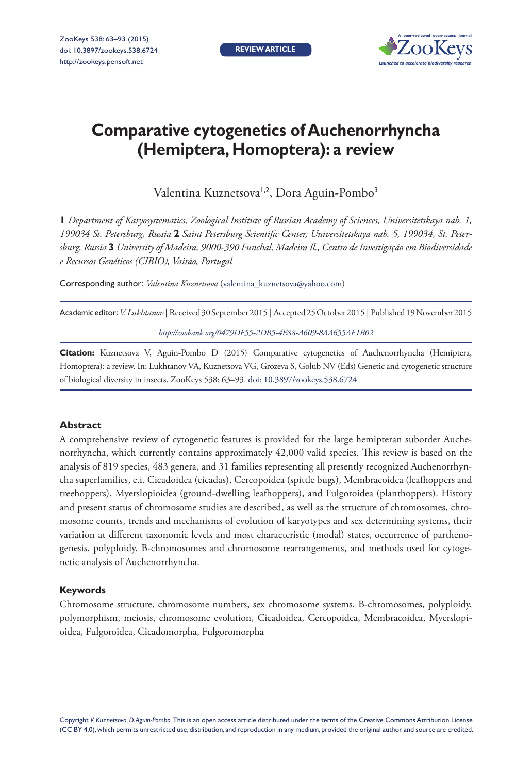**REVIEW ARTICLE**



# **Comparative cytogenetics of Auchenorrhyncha (Hemiptera, Homoptera): a review**

Valentina Kuznetsova<sup>1,2</sup>, Dora Aguin-Pombo<sup>3</sup>

**1** *Department of Karyosystematics, Zoological Institute of Russian Academy of Sciences, Universitetskaya nab. 1, 199034 St. Petersburg, Russia* **2** *Saint Petersburg Scientific Center, Universitetskaya nab. 5, 199034, St. Petersburg, Russia* **3** *University of Madeira, 9000-390 Funchal, Madeira Il., Centro de Investigação em Biodiversidade e Recursos Genéticos (CIBIO), Vairão, Portugal*

Corresponding author: *Valentina Kuznetsova* [\(valentina\\_kuznetsova@yahoo.com\)](mailto:valentina_kuznetsova@yahoo.com)

| Academic editor: V. Lukhtanov   Received 30 September 2015   Accepted 25 October 2015   Published 19 November 2015 |  |
|--------------------------------------------------------------------------------------------------------------------|--|
| http://zoobank.org/0479DF55-2DB5-4E88-A609-8AA655AE1B02                                                            |  |

**Citation:** Kuznetsova V, Aguin-Pombo D (2015) Comparative cytogenetics of Auchenorrhyncha (Hemiptera, Homoptera): a review. In: Lukhtanov VA, Kuznetsova VG, Grozeva S, Golub NV (Eds) Genetic and cytogenetic structure of biological diversity in insects. ZooKeys 538: 63–93. [doi: 10.3897/zookeys.538.6724](http://dx.doi.org/10.3897/zookeys.538.6724)

## **Abstract**

A comprehensive review of cytogenetic features is provided for the large hemipteran suborder Auchenorrhyncha, which currently contains approximately 42,000 valid species. This review is based on the analysis of 819 species, 483 genera, and 31 families representing all presently recognized Auchenorrhyncha superfamilies, e.i. Cicadoidea (cicadas), Cercopoidea (spittle bugs), Membracoidea (leafhoppers and treehoppers), Myerslopioidea (ground-dwelling leafhoppers), and Fulgoroidea (planthoppers). History and present status of chromosome studies are described, as well as the structure of chromosomes, chromosome counts, trends and mechanisms of evolution of karyotypes and sex determining systems, their variation at different taxonomic levels and most characteristic (modal) states, occurrence of parthenogenesis, polyploidy, B-chromosomes and chromosome rearrangements, and methods used for cytogenetic analysis of Auchenorrhyncha.

## **Keywords**

Chromosome structure, chromosome numbers, sex chromosome systems, B-chromosomes, polyploidy, polymorphism, meiosis, chromosome evolution, Cicadoidea, Cercopoidea, Membracoidea, Myerslopioidea, Fulgoroidea, Cicadomorpha, Fulgoromorpha

Copyright *V. Kuznetsova, D. Aguin-Pombo.* This is an open access article distributed under the terms of the [Creative Commons Attribution License](http://creativecommons.org/licenses/by/4.0/)  [\(CC BY 4.0\)](http://creativecommons.org/licenses/by/4.0/), which permits unrestricted use, distribution, and reproduction in any medium, provided the original author and source are credited.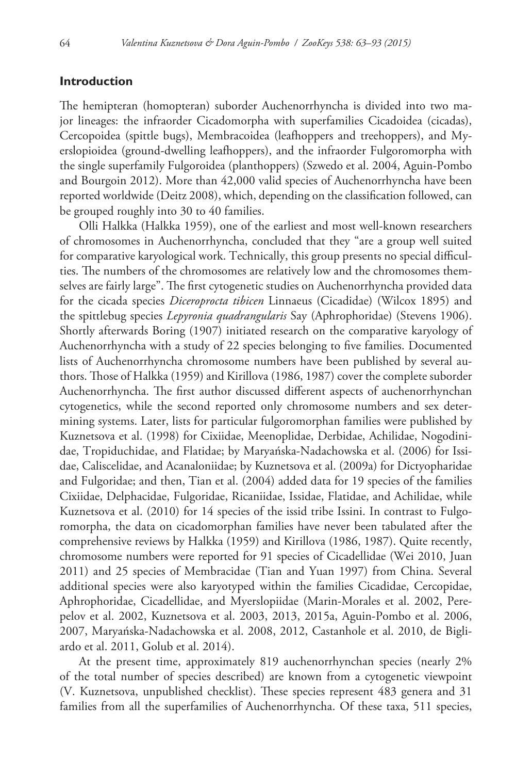# **Introduction**

The hemipteran (homopteran) suborder Auchenorrhyncha is divided into two major lineages: the infraorder Cicadomorpha with superfamilies Cicadoidea (cicadas), Cercopoidea (spittle bugs), Membracoidea (leafhoppers and treehoppers), and Myerslopioidea (ground-dwelling leafhoppers), and the infraorder Fulgoromorpha with the single superfamily Fulgoroidea (planthoppers) (Szwedo et al. 2004, Aguin-Pombo and Bourgoin 2012). More than 42,000 valid species of Auchenorrhyncha have been reported worldwide (Deitz 2008), which, depending on the classification followed, can be grouped roughly into 30 to 40 families.

Olli Halkka (Halkka 1959), one of the earliest and most well-known researchers of chromosomes in Auchenorrhyncha, concluded that they "are a group well suited for comparative karyological work. Technically, this group presents no special difficulties. The numbers of the chromosomes are relatively low and the chromosomes themselves are fairly large". The first cytogenetic studies on Auchenorrhyncha provided data for the cicada species *Diceroprocta tibicen* Linnaeus (Cicadidae) (Wilcox 1895) and the spittlebug species *Lepyronia quadrangularis* Say (Aphrophoridae) (Stevens 1906). Shortly afterwards Boring (1907) initiated research on the comparative karyology of Auchenorrhyncha with a study of 22 species belonging to five families. Documented lists of Auchenorrhyncha chromosome numbers have been published by several authors. Those of Halkka (1959) and Kirillova (1986, 1987) cover the complete suborder Auchenorrhyncha. The first author discussed different aspects of auchenorrhynchan cytogenetics, while the second reported only chromosome numbers and sex determining systems. Later, lists for particular fulgoromorphan families were published by Kuznetsova et al. (1998) for Cixiidae, Meenoplidae, Derbidae, Achilidae, Nogodinidae, Tropiduchidae, and Flatidae; by Maryańska-Nadachowska et al. (2006) for Issidae, Caliscelidae, and Acanaloniidae; by Kuznetsova et al. (2009a) for Dictyopharidae and Fulgoridae; and then, Tian et al. (2004) added data for 19 species of the families Cixiidae, Delphacidae, Fulgoridae, Ricaniidae, Issidae, Flatidae, and Achilidae, while Kuznetsova et al. (2010) for 14 species of the issid tribe Issini. In contrast to Fulgoromorpha, the data on cicadomorphan families have never been tabulated after the comprehensive reviews by Halkka (1959) and Kirillova (1986, 1987). Quite recently, chromosome numbers were reported for 91 species of Cicadellidae (Wei 2010, Juan 2011) and 25 species of Membracidae (Tian and Yuan 1997) from China. Several additional species were also karyotyped within the families Cicadidae, Cercopidae, Aphrophoridae, Cicadellidae, and Myerslopiidae (Marin-Morales et al. 2002, Perepelov et al. 2002, Kuznetsova et al. 2003, 2013, 2015a, Aguin-Pombo et al. 2006, 2007, Maryańska-Nadachowska et al. 2008, 2012, Castanhole et al. 2010, de Bigliardo et al. 2011, Golub et al. 2014).

At the present time, approximately 819 auchenorrhynchan species (nearly 2% of the total number of species described) are known from a cytogenetic viewpoint (V. Kuznetsova, unpublished checklist). These species represent 483 genera and 31 families from all the superfamilies of Auchenorrhyncha. Of these taxa, 511 species,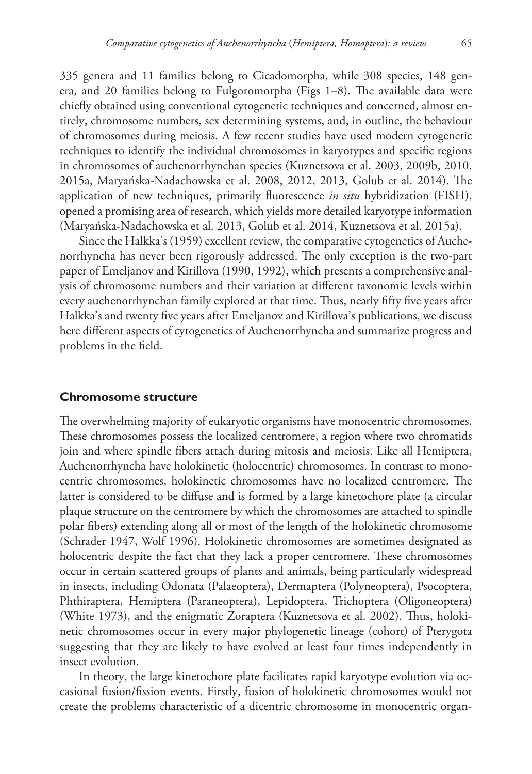335 genera and 11 families belong to Cicadomorpha, while 308 species, 148 genera, and 20 families belong to Fulgoromorpha (Figs 1–8). The available data were chiefly obtained using conventional cytogenetic techniques and concerned, almost entirely, chromosome numbers, sex determining systems, and, in outline, the behaviour of chromosomes during meiosis. A few recent studies have used modern cytogenetic techniques to identify the individual chromosomes in karyotypes and specific regions in chromosomes of auchenorrhynchan species (Kuznetsova et al. 2003, 2009b, 2010, 2015a, Maryańska-Nadachowska et al. 2008, 2012, 2013, Golub et al. 2014). The application of new techniques, primarily fluorescence *in situ* hybridization (FISH), opened a promising area of research, which yields more detailed karyotype information (Maryańska-Nadachowska et al. 2013, Golub et al. 2014, Kuznetsova et al. 2015a).

Since the Halkka's (1959) excellent review, the comparative cytogenetics of Auchenorrhyncha has never been rigorously addressed. The only exception is the two-part paper of Emeljanov and Kirillova (1990, 1992), which presents a comprehensive analysis of chromosome numbers and their variation at different taxonomic levels within every auchenorrhynchan family explored at that time. Thus, nearly fifty five years after Halkka's and twenty five years after Emeljanov and Kirillova's publications, we discuss here different aspects of cytogenetics of Auchenorrhyncha and summarize progress and problems in the field.

# **Chromosome structure**

The overwhelming majority of eukaryotic organisms have monocentric chromosomes. These chromosomes possess the localized centromere, a region where two chromatids join and where spindle fibers attach during mitosis and meiosis. Like all Hemiptera, Auchenorrhyncha have holokinetic (holocentric) chromosomes. In contrast to monocentric chromosomes, holokinetic chromosomes have no localized centromere. The latter is considered to be diffuse and is formed by a large kinetochore plate (a circular plaque structure on the centromere by which the chromosomes are attached to spindle polar fibers) extending along all or most of the length of the holokinetic chromosome (Schrader 1947, Wolf 1996). Holokinetic chromosomes are sometimes designated as holocentric despite the fact that they lack a proper centromere. These chromosomes occur in certain scattered groups of plants and animals, being particularly widespread in insects, including Odonata (Palaeoptera), Dermaptera (Polyneoptera), Psocoptera, Phthiraptera, Hemiptera (Paraneoptera), Lepidoptera, Trichoptera (Oligoneoptera) (White 1973), and the enigmatic Zoraptera (Kuznetsova et al. 2002). Thus, holokinetic chromosomes occur in every major phylogenetic lineage (cohort) of Pterygota suggesting that they are likely to have evolved at least four times independently in insect evolution.

In theory, the large kinetochore plate facilitates rapid karyotype evolution via occasional fusion/fission events. Firstly, fusion of holokinetic chromosomes would not create the problems characteristic of a dicentric chromosome in monocentric organ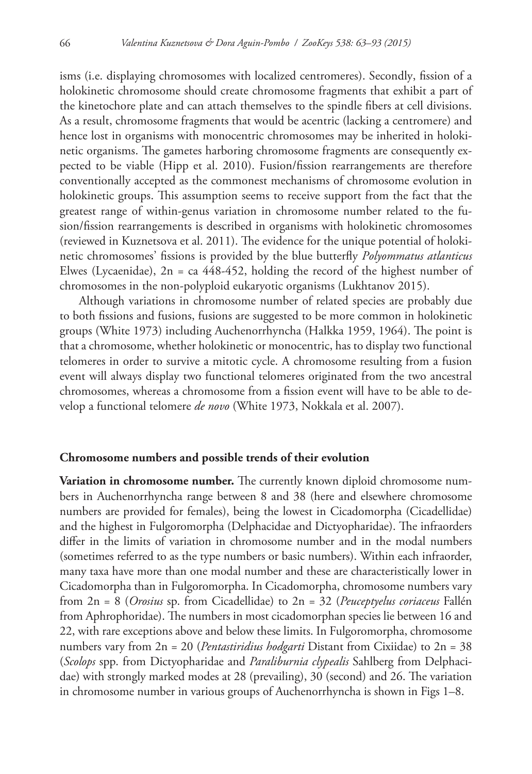isms (i.e. displaying chromosomes with localized centromeres). Secondly, fission of a holokinetic chromosome should create chromosome fragments that exhibit a part of the kinetochore plate and can attach themselves to the spindle fibers at cell divisions. As a result, chromosome fragments that would be acentric (lacking a centromere) and hence lost in organisms with monocentric chromosomes may be inherited in holokinetic organisms. The gametes harboring chromosome fragments are consequently expected to be viable (Hipp et al. 2010). Fusion/fission rearrangements are therefore conventionally accepted as the commonest mechanisms of chromosome evolution in holokinetic groups. This assumption seems to receive support from the fact that the greatest range of within-genus variation in chromosome number related to the fusion/fission rearrangements is described in organisms with holokinetic chromosomes (reviewed in Kuznetsova et al. 2011). The evidence for the unique potential of holokinetic chromosomes' fissions is provided by the blue butterfly *Polyommatus atlanticus* Elwes (Lycaenidae),  $2n = ca 448-452$ , holding the record of the highest number of chromosomes in the non-polyploid eukaryotic organisms (Lukhtanov 2015).

Although variations in chromosome number of related species are probably due to both fissions and fusions, fusions are suggested to be more common in holokinetic groups (White 1973) including Auchenorrhyncha (Halkka 1959, 1964). The point is that a chromosome, whether holokinetic or monocentric, has to display two functional telomeres in order to survive a mitotic cycle. A chromosome resulting from a fusion event will always display two functional telomeres originated from the two ancestral chromosomes, whereas a chromosome from a fission event will have to be able to develop a functional telomere *de novo* (White 1973, Nokkala et al. 2007).

### **Chromosome numbers and possible trends of their evolution**

**Variation in chromosome number.** The currently known diploid chromosome numbers in Auchenorrhyncha range between 8 and 38 (here and elsewhere chromosome numbers are provided for females), being the lowest in Cicadomorpha (Cicadellidae) and the highest in Fulgoromorpha (Delphacidae and Dictyopharidae). The infraorders differ in the limits of variation in chromosome number and in the modal numbers (sometimes referred to as the type numbers or basic numbers). Within each infraorder, many taxa have more than one modal number and these are characteristically lower in Cicadomorpha than in Fulgoromorpha. In Cicadomorpha, chromosome numbers vary from 2n = 8 (*Orosius* sp. from Cicadellidae) to 2n = 32 (*Peuceptyelus coriaceus* Fallén from Aphrophoridae). The numbers in most cicadomorphan species lie between 16 and 22, with rare exceptions above and below these limits. In Fulgoromorpha, chromosome numbers vary from 2n = 20 (*Pentastiridius hodgarti* Distant from Cixiidae) to 2n = 38 (*Scolops* spp. from Dictyopharidae and *Paraliburnia clypealis* Sahlberg from Delphacidae) with strongly marked modes at 28 (prevailing), 30 (second) and 26. The variation in chromosome number in various groups of Auchenorrhyncha is shown in Figs 1–8.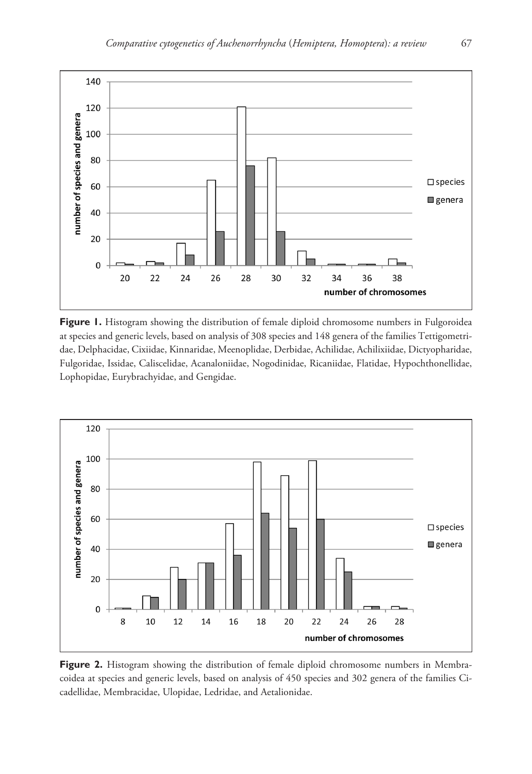

**Figure 1.** Histogram showing the distribution of female diploid chromosome numbers in Fulgoroidea at species and generic levels, based on analysis of 308 species and 148 genera of the families Tettigometridae, Delphacidae, Cixiidae, Kinnaridae, Meenoplidae, Derbidae, Achilidae, Achilixiidae, Dictyopharidae, Fulgoridae, Issidae, Caliscelidae, Acanaloniidae, Nogodinidae, Ricaniidae, Flatidae, Hypochthonellidae, Lophopidae, Eurybrachyidae, and Gengidae.



Figure 2. Histogram showing the distribution of female diploid chromosome numbers in Membracoidea at species and generic levels, based on analysis of 450 species and 302 genera of the families Cicadellidae, Membracidae, Ulopidae, Ledridae, and Aetalionidae.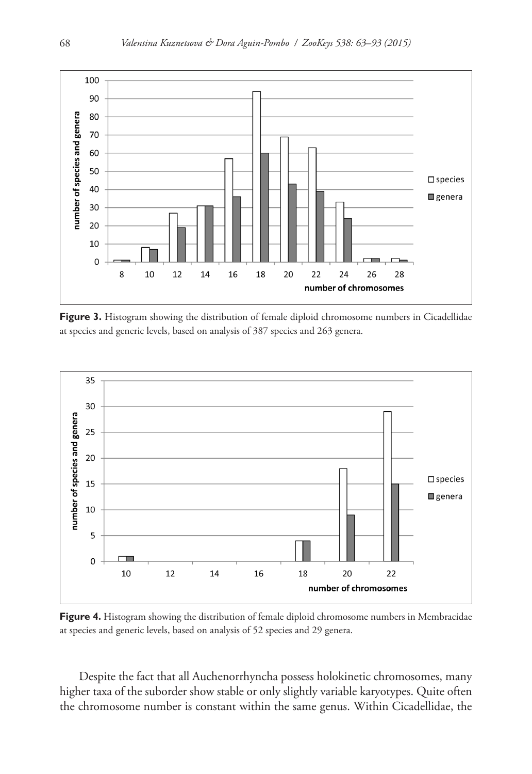

Figure 3. Histogram showing the distribution of female diploid chromosome numbers in Cicadellidae at species and generic levels, based on analysis of 387 species and 263 genera.



**Figure 4.** Histogram showing the distribution of female diploid chromosome numbers in Membracidae at species and generic levels, based on analysis of 52 species and 29 genera.

Despite the fact that all Auchenorrhyncha possess holokinetic chromosomes, many higher taxa of the suborder show stable or only slightly variable karyotypes. Quite often the chromosome number is constant within the same genus. Within Cicadellidae, the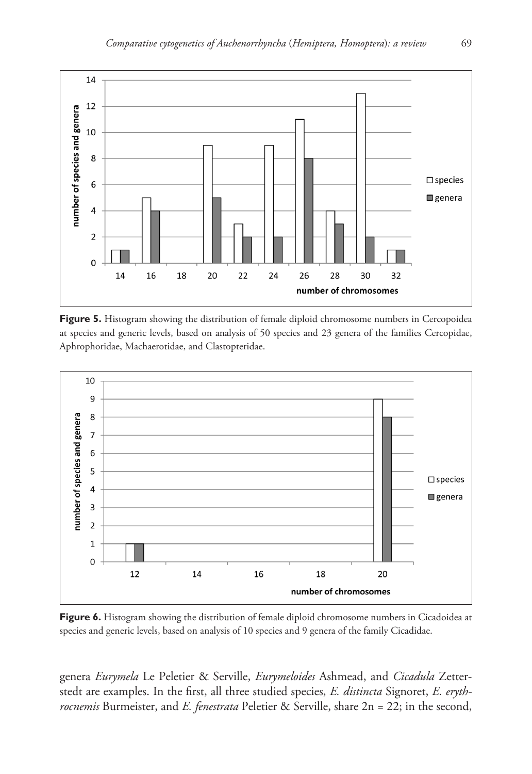

**Figure 5.** Histogram showing the distribution of female diploid chromosome numbers in Cercopoidea at species and generic levels, based on analysis of 50 species and 23 genera of the families Cercopidae, Aphrophoridae, Machaerotidae, and Clastopteridae.



Figure 6. Histogram showing the distribution of female diploid chromosome numbers in Cicadoidea at species and generic levels, based on analysis of 10 species and 9 genera of the family Cicadidae.

genera *Eurymela* Le Peletier & Serville, *Eurymeloides* Ashmead, and *Cicadula* Zetterstedt are examples. In the first, all three studied species, *E. distincta* Signoret, *E. erythrocnemis* Burmeister, and *E. fenestrata* Peletier & Serville, share 2n = 22; in the second,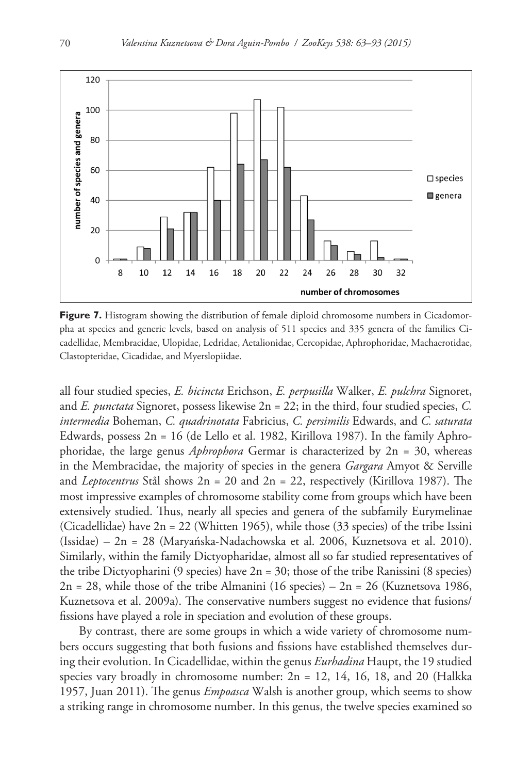

**Figure 7.** Histogram showing the distribution of female diploid chromosome numbers in Cicadomorpha at species and generic levels, based on analysis of 511 species and 335 genera of the families Cicadellidae, Membracidae, Ulopidae, Ledridae, Aetalionidae, Cercopidae, Aphrophoridae, Machaerotidae, Clastopteridae, Cicadidae, and Myerslopiidae.

all four studied species, *E. bicincta* Erichson, *E. perpusilla* Walker, *E. pulchra* Signoret, and *E. punctata* Signoret, possess likewise 2n = 22; in the third, four studied species, *C. intermedia* Boheman, *C. quadrinotata* Fabricius, *C. persimilis* Edwards, and *C. saturata* Edwards, possess  $2n = 16$  (de Lello et al. 1982, Kirillova 1987). In the family Aphrophoridae, the large genus *Aphrophora* Germar is characterized by 2n = 30, whereas in the Membracidae, the majority of species in the genera *Gargara* Amyot & Serville and *Leptocentrus* Stål shows 2n = 20 and 2n = 22, respectively (Kirillova 1987). The most impressive examples of chromosome stability come from groups which have been extensively studied. Thus, nearly all species and genera of the subfamily Eurymelinae (Cicadellidae) have  $2n = 22$  (Whitten 1965), while those (33 species) of the tribe Issini (Issidae) – 2n = 28 (Maryańska-Nadachowska et al. 2006, Kuznetsova et al. 2010). Similarly, within the family Dictyopharidae, almost all so far studied representatives of the tribe Dictyopharini (9 species) have 2n = 30; those of the tribe Ranissini (8 species)  $2n = 28$ , while those of the tribe Almanini (16 species) –  $2n = 26$  (Kuznetsova 1986, Kuznetsova et al. 2009a). The conservative numbers suggest no evidence that fusions/ fissions have played a role in speciation and evolution of these groups.

By contrast, there are some groups in which a wide variety of chromosome numbers occurs suggesting that both fusions and fissions have established themselves during their evolution. In Cicadellidae, within the genus *Eurhadina* Haupt, the 19 studied species vary broadly in chromosome number:  $2n = 12$ , 14, 16, 18, and 20 (Halkka 1957, Juan 2011). The genus *Empoasca* Walsh is another group, which seems to show a striking range in chromosome number. In this genus, the twelve species examined so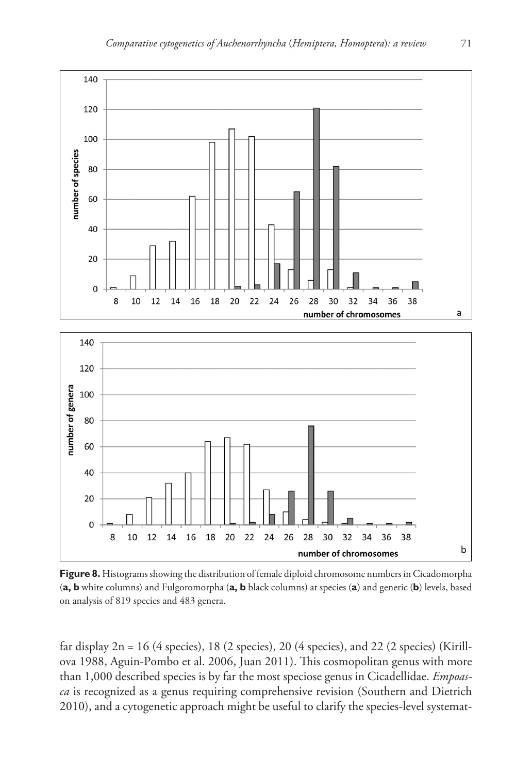

**Figure 8.** Histograms showing the distribution of female diploid chromosome numbers in Cicadomorpha (**a, b** white columns) and Fulgoromorpha (**a, b** black columns) at species (**a**) and generic (**b**) levels, based on analysis of 819 species and 483 genera.

far display  $2n = 16$  (4 species), 18 (2 species), 20 (4 species), and 22 (2 species) (Kirillova 1988, Aguin-Pombo et al. 2006, Juan 2011). This cosmopolitan genus with more than 1,000 described species is by far the most speciose genus in Cicadellidae. *Empoasca* is recognized as a genus requiring comprehensive revision (Southern and Dietrich 2010), and a cytogenetic approach might be useful to clarify the species-level systemat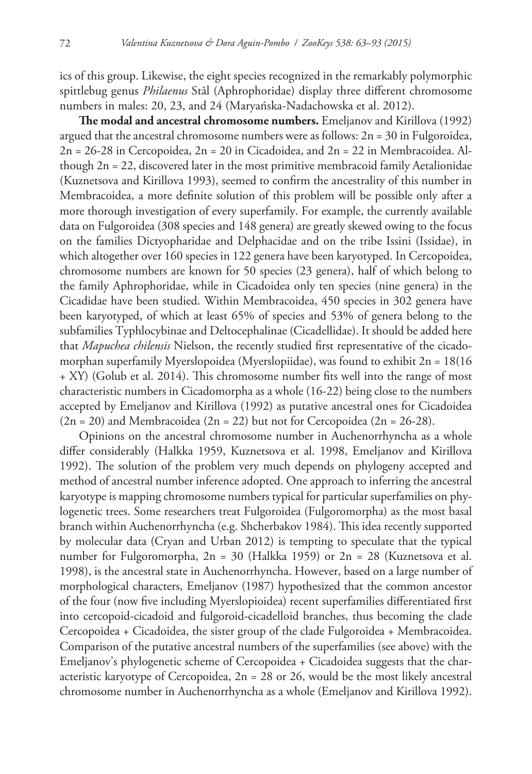ics of this group. Likewise, the eight species recognized in the remarkably polymorphic spittlebug genus *Philaenus* Stål (Aphrophoridae) display three different chromosome numbers in males: 20, 23, and 24 (Maryańska-Nadachowska et al. 2012).

**The modal and ancestral chromosome numbers.** Emeljanov and Kirillova (1992) argued that the ancestral chromosome numbers were as follows: 2n = 30 in Fulgoroidea, 2n = 26-28 in Cercopoidea, 2n = 20 in Cicadoidea, and 2n = 22 in Membracoidea. Although 2n = 22, discovered later in the most primitive membracoid family Aetalionidae (Kuznetsova and Kirillova 1993), seemed to confirm the ancestrality of this number in Membracoidea, a more definite solution of this problem will be possible only after a more thorough investigation of every superfamily. For example, the currently available data on Fulgoroidea (308 species and 148 genera) are greatly skewed owing to the focus on the families Dictyopharidae and Delphacidae and on the tribe Issini (Issidae), in which altogether over 160 species in 122 genera have been karyotyped. In Cercopoidea, chromosome numbers are known for 50 species (23 genera), half of which belong to the family Aphrophoridae, while in Cicadoidea only ten species (nine genera) in the Cicadidae have been studied. Within Membracoidea, 450 species in 302 genera have been karyotyped, of which at least 65% of species and 53% of genera belong to the subfamilies Typhlocybinae and Deltocephalinae (Cicadellidae). It should be added here that *Mapuchea chilensis* Nielson, the recently studied first representative of the cicadomorphan superfamily Myerslopoidea (Myerslopiidae), was found to exhibit 2n = 18(16 + XY) (Golub et al. 2014). This chromosome number fits well into the range of most characteristic numbers in Cicadomorpha as a whole (16-22) being close to the numbers accepted by Emeljanov and Kirillova (1992) as putative ancestral ones for Cicadoidea  $(2n = 20)$  and Membracoidea  $(2n = 22)$  but not for Cercopoidea  $(2n = 26-28)$ .

Opinions on the ancestral chromosome number in Auchenorrhyncha as a whole differ considerably (Halkka 1959, Kuznetsova et al. 1998, Emeljanov and Kirillova 1992). The solution of the problem very much depends on phylogeny accepted and method of ancestral number inference adopted. One approach to inferring the ancestral karyotype is mapping chromosome numbers typical for particular superfamilies on phylogenetic trees. Some researchers treat Fulgoroidea (Fulgoromorpha) as the most basal branch within Auchenorrhyncha (e.g. Shcherbakov 1984). This idea recently supported by molecular data (Cryan and Urban 2012) is tempting to speculate that the typical number for Fulgoromorpha, 2n = 30 (Halkka 1959) or 2n = 28 (Kuznetsova et al. 1998), is the ancestral state in Auchenorrhyncha. However, based on a large number of morphological characters, Emeljanov (1987) hypothesized that the common ancestor of the four (now five including Myerslopioidea) recent superfamilies differentiated first into cercopoid-cicadoid and fulgoroid-cicadelloid branches, thus becoming the clade Cercopoidea + Cicadoidea, the sister group of the clade Fulgoroidea + Membracoidea. Comparison of the putative ancestral numbers of the superfamilies (see above) with the Emeljanov's phylogenetic scheme of Cercopoidea + Cicadoidea suggests that the characteristic karyotype of Cercopoidea,  $2n = 28$  or 26, would be the most likely ancestral chromosome number in Auchenorrhyncha as a whole (Emeljanov and Kirillova 1992).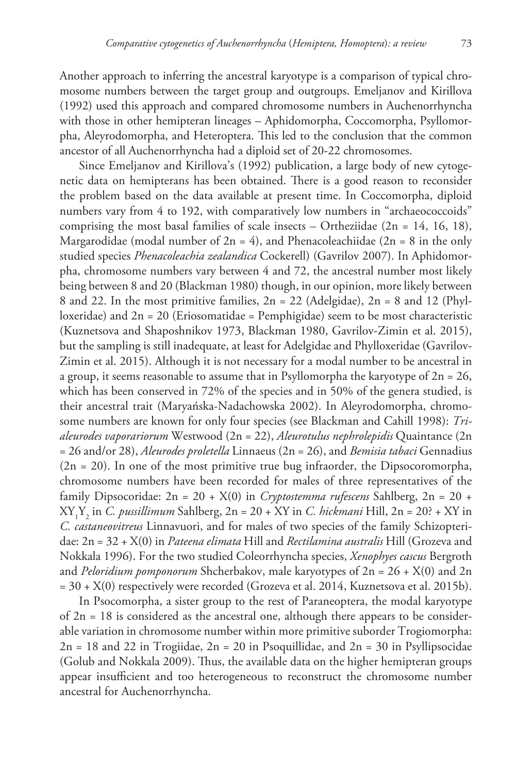Another approach to inferring the ancestral karyotype is a comparison of typical chromosome numbers between the target group and outgroups. Emeljanov and Kirillova (1992) used this approach and compared chromosome numbers in Auchenorrhyncha with those in other hemipteran lineages - Aphidomorpha, Coccomorpha, Psyllomorpha, Aleyrodomorpha, and Heteroptera. This led to the conclusion that the common ancestor of all Auchenorrhyncha had a diploid set of 20-22 chromosomes.

Since Emeljanov and Kirillova's (1992) publication, a large body of new cytogenetic data on hemipterans has been obtained. There is a good reason to reconsider the problem based on the data available at present time. In Coccomorpha, diploid numbers vary from 4 to 192, with comparatively low numbers in "archaeococcoids" comprising the most basal families of scale insects – Ortheziidae  $(2n = 14, 16, 18)$ , Margarodidae (modal number of  $2n = 4$ ), and Phenacoleachiidae ( $2n = 8$  in the only studied species *Phenacoleachia zealandica* Cockerell) (Gavrilov 2007). In Aphidomorpha, chromosome numbers vary between 4 and 72, the ancestral number most likely being between 8 and 20 (Blackman 1980) though, in our opinion, more likely between 8 and 22. In the most primitive families,  $2n = 22$  (Adelgidae),  $2n = 8$  and 12 (Phylloxeridae) and  $2n = 20$  (Eriosomatidae = Pemphigidae) seem to be most characteristic (Kuznetsova and Shaposhnikov 1973, Blackman 1980, Gavrilov-Zimin et al. 2015), but the sampling is still inadequate, at least for Adelgidae and Phylloxeridae (Gavrilov-Zimin et al. 2015). Although it is not necessary for a modal number to be ancestral in a group, it seems reasonable to assume that in Psyllomorpha the karyotype of  $2n = 26$ , which has been conserved in 72% of the species and in 50% of the genera studied, is their ancestral trait (Maryańska-Nadachowska 2002). In Aleyrodomorpha, chromosome numbers are known for only four species (see Blackman and Cahill 1998): *Trialeurodes vaporariorum* Westwood (2n = 22), *Aleurotulus nephrolepidis* Quaintance (2n = 26 and/or 28), *Aleurodes proletella* Linnaeus (2n = 26), and *Bemisia tabaci* Gennadius  $(2n = 20)$ . In one of the most primitive true bug infraorder, the Dipsocoromorpha, chromosome numbers have been recorded for males of three representatives of the family Dipsocoridae: 2n = 20 + X(0) in *Cryptostemma rufescens* Sahlberg, 2n = 20 + XY1 Y2 in *C. pussillimum* Sahlberg, 2n = 20 + XY in *C. hickmani* Hill, 2n = 20? + XY in *C. castaneovitreus* Linnavuori, and for males of two species of the family Schizopteridae: 2n = 32 + X(0) in *Pateena elimata* Hill and *Rectilamina australis* Hill (Grozeva and Nokkala 1996). For the two studied Coleorrhyncha species, *Xenophyes cascus* Bergroth and *Peloridium pomponorum* Shcherbakov, male karyotypes of 2n = 26 + X(0) and 2n = 30 + X(0) respectively were recorded (Grozeva et al. 2014, Kuznetsova et al. 2015b).

In Psocomorpha, a sister group to the rest of Paraneoptera, the modal karyotype of 2n = 18 is considered as the ancestral one, although there appears to be considerable variation in chromosome number within more primitive suborder Trogiomorpha:  $2n = 18$  and 22 in Trogiidae,  $2n = 20$  in Psoquillidae, and  $2n = 30$  in Psyllipsocidae (Golub and Nokkala 2009). Thus, the available data on the higher hemipteran groups appear insufficient and too heterogeneous to reconstruct the chromosome number ancestral for Auchenorrhyncha.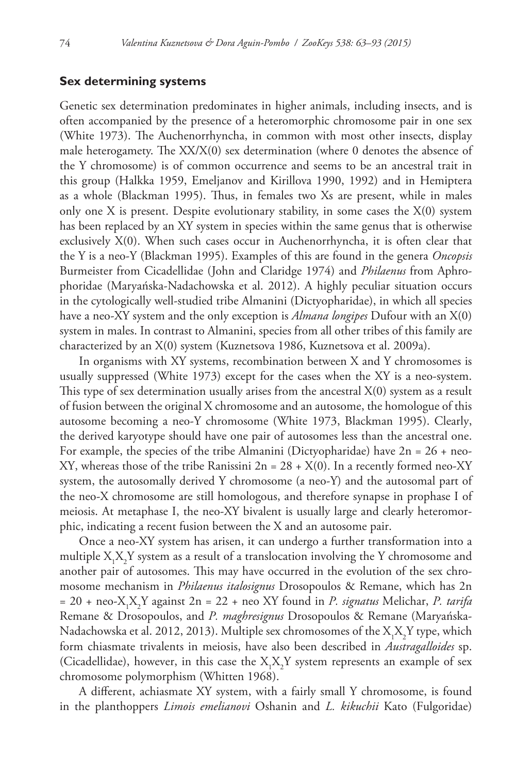# **Sex determining systems**

Genetic sex determination predominates in higher animals, including insects, and is often accompanied by the presence of a heteromorphic chromosome pair in one sex (White 1973). The Auchenorrhyncha, in common with most other insects, display male heterogamety. The  $XX/X(0)$  sex determination (where 0 denotes the absence of the Y chromosome) is of common occurrence and seems to be an ancestral trait in this group (Halkka 1959, Emeljanov and Kirillova 1990, 1992) and in Hemiptera as a whole (Blackman 1995). Thus, in females two Xs are present, while in males only one X is present. Despite evolutionary stability, in some cases the  $X(0)$  system has been replaced by an XY system in species within the same genus that is otherwise exclusively X(0). When such cases occur in Auchenorrhyncha, it is often clear that the Y is a neo-Y (Blackman 1995). Examples of this are found in the genera *Oncopsis* Burmeister from Cicadellidae (John and Claridge 1974) and *Philaenus* from Aphrophoridae (Maryańska-Nadachowska et al. 2012). A highly peculiar situation occurs in the cytologically well-studied tribe Almanini (Dictyopharidae), in which all species have a neo-XY system and the only exception is *Almana longipes* Dufour with an X(0) system in males. In contrast to Almanini, species from all other tribes of this family are characterized by an X(0) system (Kuznetsova 1986, Kuznetsova et al. 2009a).

In organisms with XY systems, recombination between X and Y chromosomes is usually suppressed (White 1973) except for the cases when the XY is a neo-system. This type of sex determination usually arises from the ancestral  $X(0)$  system as a result of fusion between the original X chromosome and an autosome, the homologue of this autosome becoming a neo-Y chromosome (White 1973, Blackman 1995). Clearly, the derived karyotype should have one pair of autosomes less than the ancestral one. For example, the species of the tribe Almanini (Dictyopharidae) have  $2n = 26 + neo-$ XY, whereas those of the tribe Ranissini  $2n = 28 + X(0)$ . In a recently formed neo-XY system, the autosomally derived Y chromosome (a neo-Y) and the autosomal part of the neo-X chromosome are still homologous, and therefore synapse in prophase I of meiosis. At metaphase I, the neo-XY bivalent is usually large and clearly heteromorphic, indicating a recent fusion between the X and an autosome pair.

Once a neo-XY system has arisen, it can undergo a further transformation into a multiple  $X_1X_2Y$  system as a result of a translocation involving the  $Y$  chromosome and another pair of autosomes. This may have occurred in the evolution of the sex chromosome mechanism in *Philaenus italosignus* Drosopoulos & Remane, which has 2n = 20 + neo-X1 X2 Y against 2n = 22 + neo XY found in *P. signatus* Melichar, *P. tarifa* Remane & Drosopoulos, and *P. maghresignus* Drosopoulos & Remane (Maryańska-Nadachowska et al. 2012, 2013). Multiple sex chromosomes of the  $\mathrm{X_{i}X_{j}Y}$  type, which form chiasmate trivalents in meiosis, have also been described in *Austragalloides* sp. (Cicadellidae), however, in this case the  $X_1X_2Y$  system represents an example of sex chromosome polymorphism (Whitten 1968).

A different, achiasmate XY system, with a fairly small Y chromosome, is found in the planthoppers *Limois emelianovi* Oshanin and *L. kikuchii* Kato (Fulgoridae)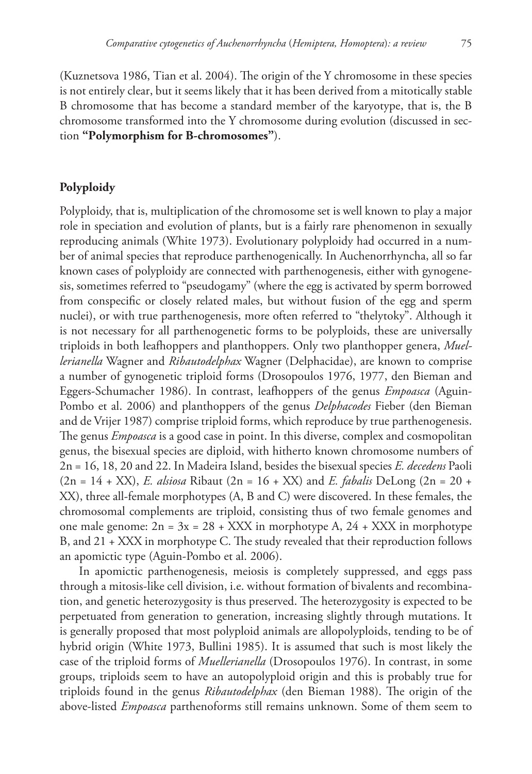(Kuznetsova 1986, Tian et al. 2004). The origin of the Y chromosome in these species is not entirely clear, but it seems likely that it has been derived from a mitotically stable B chromosome that has become a standard member of the karyotype, that is, the B chromosome transformed into the Y chromosome during evolution (discussed in section **"Polymorphism for B-chromosomes"**).

# **Polyploidy**

Polyploidy, that is, multiplication of the chromosome set is well known to play a major role in speciation and evolution of plants, but is a fairly rare phenomenon in sexually reproducing animals (White 1973). Evolutionary polyploidy had occurred in a number of animal species that reproduce parthenogenically. In Auchenorrhyncha, all so far known cases of polyploidy are connected with parthenogenesis, either with gynogenesis, sometimes referred to "pseudogamy" (where the egg is activated by sperm borrowed from conspecific or closely related males, but without fusion of the egg and sperm nuclei), or with true parthenogenesis, more often referred to "thelytoky". Although it is not necessary for all parthenogenetic forms to be polyploids, these are universally triploids in both leafhoppers and planthoppers. Only two planthopper genera, *Muellerianella* Wagner and *Ribautodelphax* Wagner (Delphacidae), are known to comprise a number of gynogenetic triploid forms (Drosopoulos 1976, 1977, den Bieman and Eggers-Schumacher 1986). In contrast, leafhoppers of the genus *Empoasca* (Aguin-Pombo et al. 2006) and planthoppers of the genus *Delphacodes* Fieber (den Bieman and de Vrijer 1987) comprise triploid forms, which reproduce by true parthenogenesis. The genus *Empoasca* is a good case in point. In this diverse, complex and cosmopolitan genus, the bisexual species are diploid, with hitherto known chromosome numbers of 2n = 16, 18, 20 and 22. In Madeira Island, besides the bisexual species *E. decedens* Paoli (2n = 14 + XX), *E. alsiosa* Ribaut (2n = 16 + XX) and *E. fabalis* DeLong (2n = 20 + XX), three all-female morphotypes (A, B and C) were discovered. In these females, the chromosomal complements are triploid, consisting thus of two female genomes and one male genome:  $2n = 3x = 28 + XXX$  in morphotype A,  $24 + XXX$  in morphotype B, and 21 + XXX in morphotype C. The study revealed that their reproduction follows an apomictic type (Aguin-Pombo et al. 2006).

In apomictic parthenogenesis, meiosis is completely suppressed, and eggs pass through a mitosis-like cell division, i.e. without formation of bivalents and recombination, and genetic heterozygosity is thus preserved. The heterozygosity is expected to be perpetuated from generation to generation, increasing slightly through mutations. It is generally proposed that most polyploid animals are allopolyploids, tending to be of hybrid origin (White 1973, Bullini 1985). It is assumed that such is most likely the case of the triploid forms of *Muellerianella* (Drosopoulos 1976). In contrast, in some groups, triploids seem to have an autopolyploid origin and this is probably true for triploids found in the genus *Ribautodelphax* (den Bieman 1988). The origin of the above-listed *Empoasca* parthenoforms still remains unknown. Some of them seem to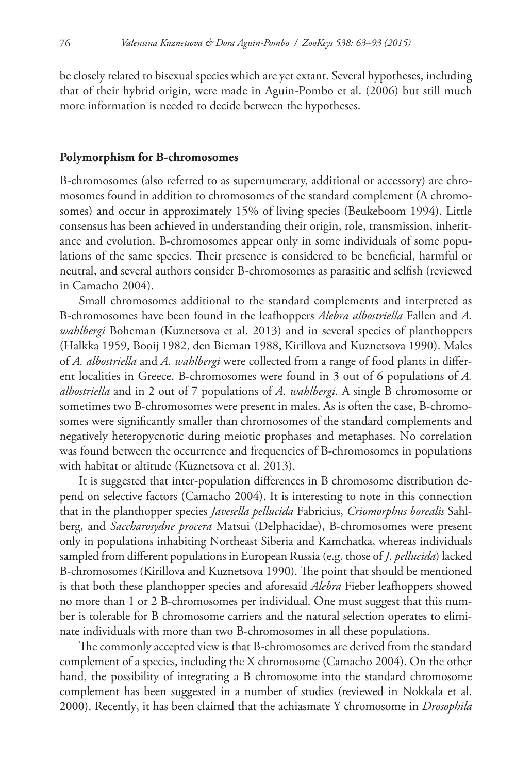be closely related to bisexual species which are yet extant. Several hypotheses, including that of their hybrid origin, were made in Aguin-Pombo et al. (2006) but still much more information is needed to decide between the hypotheses.

#### **Polymorphism for B-chromosomes**

B-chromosomes (also referred to as supernumerary, additional or accessory) are chromosomes found in addition to chromosomes of the standard complement (A chromosomes) and occur in approximately 15% of living species (Beukeboom 1994). Little consensus has been achieved in understanding their origin, role, transmission, inheritance and evolution. B-chromosomes appear only in some individuals of some populations of the same species. Their presence is considered to be beneficial, harmful or neutral, and several authors consider B-chromosomes as parasitic and selfish (reviewed in Camacho 2004).

Small chromosomes additional to the standard complements and interpreted as B-chromosomes have been found in the leafhoppers *Alebra albostriella* Fallen and *A. wahlbergi* Boheman (Kuznetsova et al. 2013) and in several species of planthoppers (Halkka 1959, Booij 1982, den Bieman 1988, Kirillova and Kuznetsova 1990). Males of *A. albostriella* and *A. wahlbergi* were collected from a range of food plants in different localities in Greece. B-chromosomes were found in 3 out of 6 populations of *A. albostriella* and in 2 out of 7 populations of *A. wahlbergi.* A single B chromosome or sometimes two B-chromosomes were present in males. As is often the case, B-chromosomes were significantly smaller than chromosomes of the standard complements and negatively heteropycnotic during meiotic prophases and metaphases. No correlation was found between the occurrence and frequencies of B-chromosomes in populations with habitat or altitude (Kuznetsova et al. 2013).

It is suggested that inter-population differences in B chromosome distribution depend on selective factors (Camacho 2004). It is interesting to note in this connection that in the planthopper species *Javesella pellucida* Fabricius, *Criomorphus borealis* Sahlberg, and *Saccharosydne procera* Matsui (Delphacidae), B-chromosomes were present only in populations inhabiting Northeast Siberia and Kamchatka, whereas individuals sampled from different populations in European Russia (e.g. those of *J. pellucida*) lacked B-chromosomes (Kirillova and Kuznetsova 1990). The point that should be mentioned is that both these planthopper species and aforesaid *Alebra* Fieber leafhoppers showed no more than 1 or 2 B-chromosomes per individual. One must suggest that this number is tolerable for B chromosome carriers and the natural selection operates to eliminate individuals with more than two B-chromosomes in all these populations.

The commonly accepted view is that B-chromosomes are derived from the standard complement of a species, including the X chromosome (Camacho 2004). On the other hand, the possibility of integrating a B chromosome into the standard chromosome complement has been suggested in a number of studies (reviewed in Nokkala et al. 2000). Recently, it has been claimed that the achiasmate Y chromosome in *Drosophila*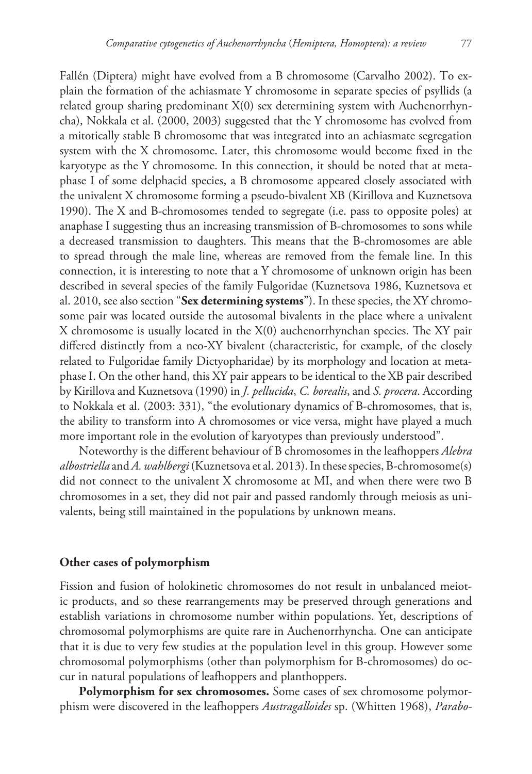Fallén (Diptera) might have evolved from a B chromosome (Carvalho 2002). To explain the formation of the achiasmate Y chromosome in separate species of psyllids (a related group sharing predominant X(0) sex determining system with Auchenorrhyncha), Nokkala et al. (2000, 2003) suggested that the Y chromosome has evolved from a mitotically stable B chromosome that was integrated into an achiasmate segregation system with the X chromosome. Later, this chromosome would become fixed in the karyotype as the Y chromosome. In this connection, it should be noted that at metaphase I of some delphacid species, a B chromosome appeared closely associated with the univalent X chromosome forming a pseudo-bivalent XB (Kirillova and Kuznetsova 1990). The X and B-chromosomes tended to segregate (i.e. pass to opposite poles) at anaphase I suggesting thus an increasing transmission of B-chromosomes to sons while a decreased transmission to daughters. This means that the B-chromosomes are able to spread through the male line, whereas are removed from the female line. In this connection, it is interesting to note that a Y chromosome of unknown origin has been described in several species of the family Fulgoridae (Kuznetsova 1986, Kuznetsova et al. 2010, see also section "**Sex determining systems**"). In these species, the XY chromosome pair was located outside the autosomal bivalents in the place where a univalent X chromosome is usually located in the  $X(0)$  auchenorrhynchan species. The XY pair differed distinctly from a neo-XY bivalent (characteristic, for example, of the closely related to Fulgoridae family Dictyopharidae) by its morphology and location at metaphase I. On the other hand, this XY pair appears to be identical to the XB pair described by Kirillova and Kuznetsova (1990) in *J. pellucida*, *C. borealis*, and *S. procera*. According to Nokkala et al. (2003: 331), "the evolutionary dynamics of B-chromosomes, that is, the ability to transform into A chromosomes or vice versa, might have played a much more important role in the evolution of karyotypes than previously understood".

Noteworthy is the different behaviour of B chromosomes in the leafhoppers *Alebra albostriella* and *A. wahlbergi* (Kuznetsova et al. 2013). In these species, B-chromosome(s) did not connect to the univalent X chromosome at MI, and when there were two B chromosomes in a set, they did not pair and passed randomly through meiosis as univalents, being still maintained in the populations by unknown means.

# **Other cases of polymorphism**

Fission and fusion of holokinetic chromosomes do not result in unbalanced meiotic products, and so these rearrangements may be preserved through generations and establish variations in chromosome number within populations. Yet, descriptions of chromosomal polymorphisms are quite rare in Auchenorrhyncha. One can anticipate that it is due to very few studies at the population level in this group. However some chromosomal polymorphisms (other than polymorphism for B-chromosomes) do occur in natural populations of leafhoppers and planthoppers.

**Polymorphism for sex chromosomes.** Some cases of sex chromosome polymorphism were discovered in the leafhoppers *Austragalloides* sp. (Whitten 1968), *Parabo-*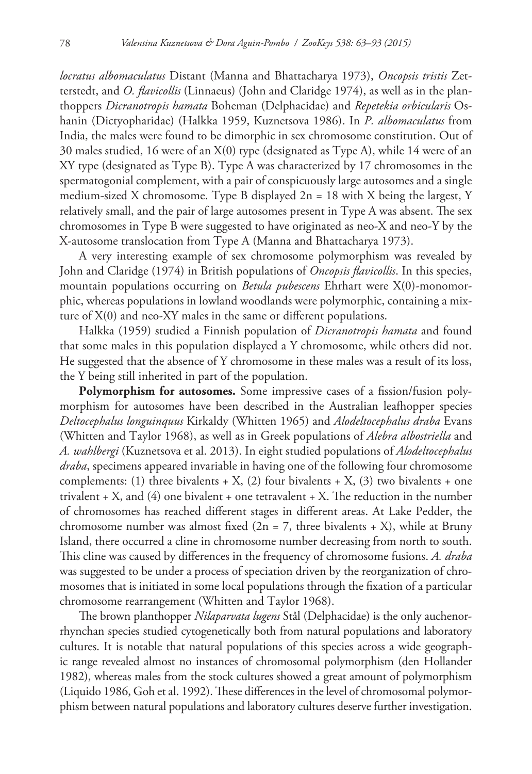*locratus albomaculatus* Distant (Manna and Bhattacharya 1973), *Oncopsis tristis* Zetterstedt, and *O. flavicollis* (Linnaeus) (John and Claridge 1974), as well as in the planthoppers *Dicranotropis hamata* Boheman (Delphacidae) and *Repetekia orbicularis* Oshanin (Dictyopharidae) (Halkka 1959, Kuznetsova 1986). In *P. albomaculatus* from India, the males were found to be dimorphic in sex chromosome constitution. Out of 30 males studied, 16 were of an X(0) type (designated as Type A), while 14 were of an XY type (designated as Type B). Type A was characterized by 17 chromosomes in the spermatogonial complement, with a pair of conspicuously large autosomes and a single medium-sized X chromosome. Type B displayed  $2n = 18$  with X being the largest, Y relatively small, and the pair of large autosomes present in Type A was absent. The sex chromosomes in Type B were suggested to have originated as neo-X and neo-Y by the X-autosome translocation from Type A (Manna and Bhattacharya 1973).

A very interesting example of sex chromosome polymorphism was revealed by John and Claridge (1974) in British populations of *Oncopsis flavicollis*. In this species, mountain populations occurring on *Betula pubescens* Ehrhart were X(0)-monomorphic, whereas populations in lowland woodlands were polymorphic, containing a mixture of X(0) and neo-XY males in the same or different populations.

Halkka (1959) studied a Finnish population of *Dicranotropis hamata* and found that some males in this population displayed a Y chromosome, while others did not. He suggested that the absence of Y chromosome in these males was a result of its loss, the Y being still inherited in part of the population.

**Polymorphism for autosomes.** Some impressive cases of a fission/fusion polymorphism for autosomes have been described in the Australian leafhopper species *Deltocephalus longuinquus* Kirkaldy (Whitten 1965) and *Alodeltocephalus draba* Evans (Whitten and Taylor 1968), as well as in Greek populations of *Alebra albostriella* and *A. wahlbergi* (Kuznetsova et al. 2013). In eight studied populations of *Alodeltocephalus draba*, specimens appeared invariable in having one of the following four chromosome complements: (1) three bivalents  $+ X$ , (2) four bivalents  $+ X$ , (3) two bivalents  $+$  one trivalent  $+ X$ , and (4) one bivalent  $+$  one tetravalent  $+ X$ . The reduction in the number of chromosomes has reached different stages in different areas. At Lake Pedder, the chromosome number was almost fixed  $(2n = 7)$ , three bivalents + X), while at Bruny Island, there occurred a cline in chromosome number decreasing from north to south. This cline was caused by differences in the frequency of chromosome fusions. *A. draba* was suggested to be under a process of speciation driven by the reorganization of chromosomes that is initiated in some local populations through the fixation of a particular chromosome rearrangement (Whitten and Taylor 1968).

The brown planthopper *Nilaparvata lugens* Stål (Delphacidae) is the only auchenorrhynchan species studied cytogenetically both from natural populations and laboratory cultures. It is notable that natural populations of this species across a wide geographic range revealed almost no instances of chromosomal polymorphism (den Hollander 1982), whereas males from the stock cultures showed a great amount of polymorphism (Liquido 1986, Goh et al. 1992). These differences in the level of chromosomal polymorphism between natural populations and laboratory cultures deserve further investigation.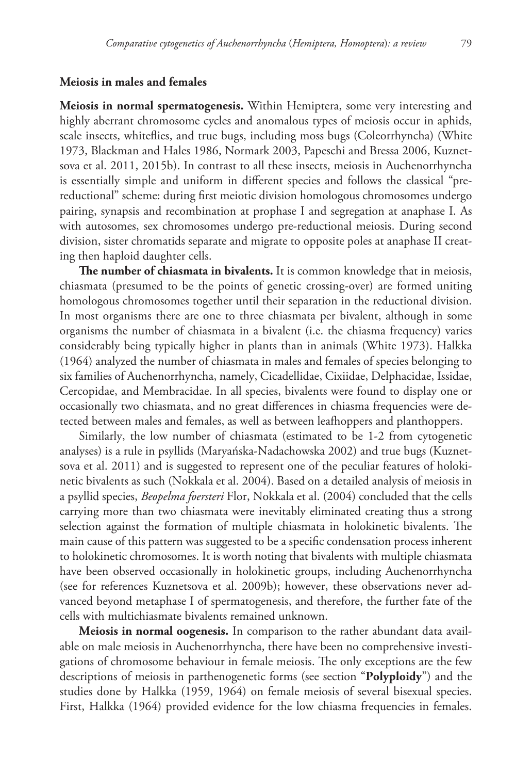# **Meiosis in males and females**

**Meiosis in normal spermatogenesis.** Within Hemiptera, some very interesting and highly aberrant chromosome cycles and anomalous types of meiosis occur in aphids, scale insects, whiteflies, and true bugs, including moss bugs (Coleorrhyncha) (White 1973, Blackman and Hales 1986, Normark 2003, Papeschi and Bressa 2006, Kuznetsova et al. 2011, 2015b). In contrast to all these insects, meiosis in Auchenorrhyncha is essentially simple and uniform in different species and follows the classical "prereductional" scheme: during first meiotic division homologous chromosomes undergo pairing, synapsis and recombination at prophase I and segregation at anaphase I. As with autosomes, sex chromosomes undergo pre-reductional meiosis. During second division, sister chromatids separate and migrate to opposite poles at anaphase II creating then haploid daughter cells.

**The number of chiasmata in bivalents.** It is common knowledge that in meiosis, chiasmata (presumed to be the points of genetic crossing-over) are formed uniting homologous chromosomes together until their separation in the reductional division. In most organisms there are one to three chiasmata per bivalent, although in some organisms the number of chiasmata in a bivalent (i.e. the chiasma frequency) varies considerably being typically higher in plants than in animals (White 1973). Halkka (1964) analyzed the number of chiasmata in males and females of species belonging to six families of Auchenorrhyncha, namely, Cicadellidae, Cixiidae, Delphacidae, Issidae, Cercopidae, and Membracidae. In all species, bivalents were found to display one or occasionally two chiasmata, and no great differences in chiasma frequencies were detected between males and females, as well as between leafhoppers and planthoppers.

Similarly, the low number of chiasmata (estimated to be 1-2 from cytogenetic analyses) is a rule in psyllids (Maryańska-Nadachowska 2002) and true bugs (Kuznetsova et al. 2011) and is suggested to represent one of the peculiar features of holokinetic bivalents as such (Nokkala et al. 2004). Based on a detailed analysis of meiosis in a psyllid species, *Beopelma foersteri* Flor, Nokkala et al. (2004) concluded that the cells carrying more than two chiasmata were inevitably eliminated creating thus a strong selection against the formation of multiple chiasmata in holokinetic bivalents. The main cause of this pattern was suggested to be a specific condensation process inherent to holokinetic chromosomes. It is worth noting that bivalents with multiple chiasmata have been observed occasionally in holokinetic groups, including Auchenorrhyncha (see for references Kuznetsova et al. 2009b); however, these observations never advanced beyond metaphase I of spermatogenesis, and therefore, the further fate of the cells with multichiasmate bivalents remained unknown.

**Meiosis in normal oogenesis.** In comparison to the rather abundant data available on male meiosis in Auchenorrhyncha, there have been no comprehensive investigations of chromosome behaviour in female meiosis. The only exceptions are the few descriptions of meiosis in parthenogenetic forms (see section "**Polyploidy**") and the studies done by Halkka (1959, 1964) on female meiosis of several bisexual species. First, Halkka (1964) provided evidence for the low chiasma frequencies in females.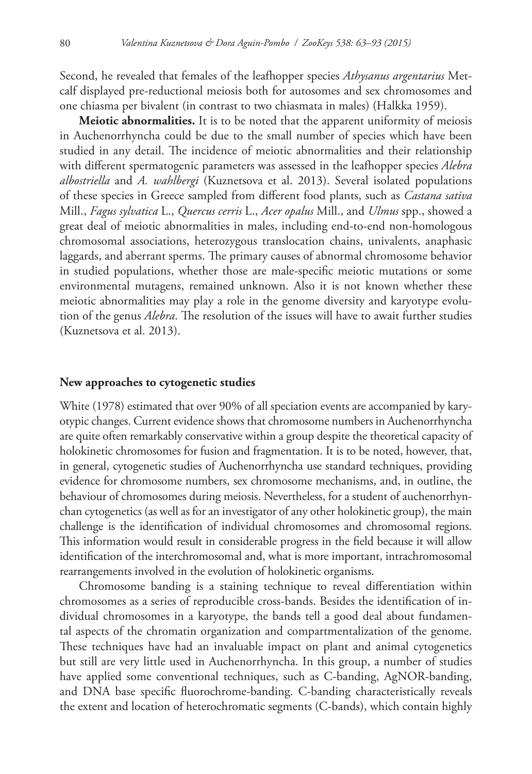Second, he revealed that females of the leafhopper species *Athysanus argentarius* Metcalf displayed pre-reductional meiosis both for autosomes and sex chromosomes and one chiasma per bivalent (in contrast to two chiasmata in males) (Halkka 1959).

**Meiotic abnormalities.** It is to be noted that the apparent uniformity of meiosis in Auchenorrhyncha could be due to the small number of species which have been studied in any detail. The incidence of meiotic abnormalities and their relationship with different spermatogenic parameters was assessed in the leafhopper species *Alebra albostriella* and *A. wahlbergi* (Kuznetsova et al. 2013). Several isolated populations of these species in Greece sampled from different food plants, such as *Castana sativa* Mill., *Fagus sylvatica* L., *Quercus cerris* L., *Acer opalus* Mill., and *Ulmus* spp., showed a great deal of meiotic abnormalities in males, including end-to-end non-homologous chromosomal associations, heterozygous translocation chains, univalents, anaphasic laggards, and aberrant sperms. The primary causes of abnormal chromosome behavior in studied populations, whether those are male-specific meiotic mutations or some environmental mutagens, remained unknown. Also it is not known whether these meiotic abnormalities may play a role in the genome diversity and karyotype evolution of the genus *Alebra*. The resolution of the issues will have to await further studies (Kuznetsova et al. 2013).

## **New approaches to cytogenetic studies**

White (1978) estimated that over 90% of all speciation events are accompanied by karyotypic changes. Current evidence shows that chromosome numbers in Auchenorrhyncha are quite often remarkably conservative within a group despite the theoretical capacity of holokinetic chromosomes for fusion and fragmentation. It is to be noted, however, that, in general, cytogenetic studies of Auchenorrhyncha use standard techniques, providing evidence for chromosome numbers, sex chromosome mechanisms, and, in outline, the behaviour of chromosomes during meiosis. Nevertheless, for a student of auchenorrhynchan cytogenetics (as well as for an investigator of any other holokinetic group), the main challenge is the identification of individual chromosomes and chromosomal regions. This information would result in considerable progress in the field because it will allow identification of the interchromosomal and, what is more important, intrachromosomal rearrangements involved in the evolution of holokinetic organisms.

Chromosome banding is a staining technique to reveal differentiation within chromosomes as a series of reproducible cross-bands. Besides the identification of individual chromosomes in a karyotype, the bands tell a good deal about fundamental aspects of the chromatin organization and compartmentalization of the genome. These techniques have had an invaluable impact on plant and animal cytogenetics but still are very little used in Auchenorrhyncha. In this group, a number of studies have applied some conventional techniques, such as C-banding, AgNOR-banding, and DNA base specific fluorochrome-banding. C-banding characteristically reveals the extent and location of heterochromatic segments (C-bands), which contain highly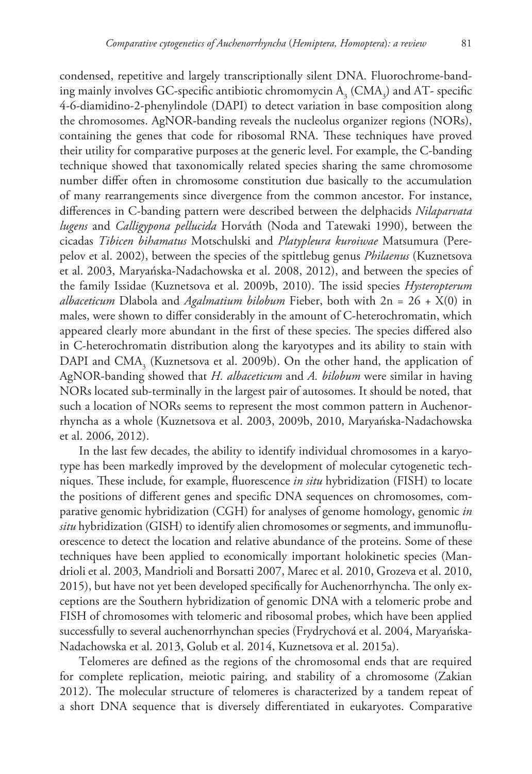condensed, repetitive and largely transcriptionally silent DNA. Fluorochrome-banding mainly involves GC-specific antibiotic chromomycin  $A_3$  (CMA<sub>3</sub>) and AT- specific 4-6-diamidino-2-phenylindole (DAPI) to detect variation in base composition along the chromosomes. AgNOR-banding reveals the nucleolus organizer regions (NORs), containing the genes that code for ribosomal RNA. These techniques have proved their utility for comparative purposes at the generic level. For example, the C-banding technique showed that taxonomically related species sharing the same chromosome number differ often in chromosome constitution due basically to the accumulation of many rearrangements since divergence from the common ancestor. For instance, differences in C-banding pattern were described between the delphacids *Nilaparvata lugens* and *Calligypona pellucida* Horváth (Noda and Tatewaki 1990), between the cicadas *Tibicen bihamatus* Motschulski and *Platypleura kuroiwae* Matsumura (Perepelov et al. 2002), between the species of the spittlebug genus *Philaenus* (Kuznetsova et al. 2003, Maryańska-Nadachowska et al. 2008, 2012), and between the species of the family Issidae (Kuznetsova et al. 2009b, 2010). The issid species *Hysteropterum albaceticum* Dlabola and *Agalmatium bilobum* Fieber, both with 2n = 26 + X(0) in males, were shown to differ considerably in the amount of C-heterochromatin, which appeared clearly more abundant in the first of these species. The species differed also in C-heterochromatin distribution along the karyotypes and its ability to stain with DAPI and CMA<sub>3</sub> (Kuznetsova et al. 2009b). On the other hand, the application of AgNOR-banding showed that *H. albaceticum* and *A. bilobum* were similar in having NORs located sub-terminally in the largest pair of autosomes. It should be noted, that such a location of NORs seems to represent the most common pattern in Auchenorrhyncha as a whole (Kuznetsova et al. 2003, 2009b, 2010, Maryańska-Nadachowska et al. 2006, 2012).

In the last few decades, the ability to identify individual chromosomes in a karyotype has been markedly improved by the development of molecular cytogenetic techniques. These include, for example, fluorescence *in situ* hybridization (FISH) to locate the positions of different genes and specific DNA sequences on chromosomes, comparative genomic hybridization (CGH) for analyses of genome homology, genomic *in situ* hybridization (GISH) to identify alien chromosomes or segments, and immunofluorescence to detect the location and relative abundance of the proteins. Some of these techniques have been applied to economically important holokinetic species (Mandrioli et al. 2003, Mandrioli and Borsatti 2007, Marec et al. 2010, Grozeva et al. 2010, 2015), but have not yet been developed specifically for Auchenorrhyncha. The only exceptions are the Southern hybridization of genomic DNA with a telomeric probe and FISH of chromosomes with telomeric and ribosomal probes, which have been applied successfully to several auchenorrhynchan species (Frydrychová et al. 2004, Maryańska-Nadachowska et al. 2013, Golub et al. 2014, Kuznetsova et al. 2015a).

Telomeres are defined as the regions of the chromosomal ends that are required for complete replication, meiotic pairing, and stability of a chromosome (Zakian 2012). The molecular structure of telomeres is characterized by a tandem repeat of a short DNA sequence that is diversely differentiated in eukaryotes. Comparative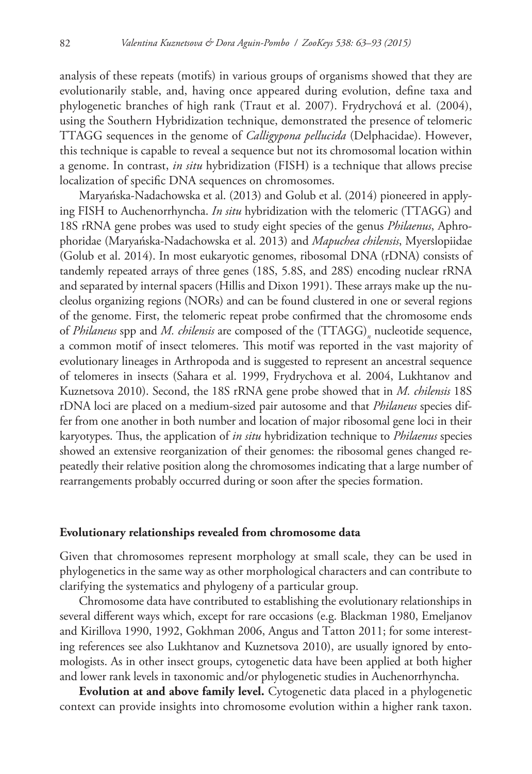analysis of these repeats (motifs) in various groups of organisms showed that they are evolutionarily stable, and, having once appeared during evolution, define taxa and phylogenetic branches of high rank (Traut et al. 2007). Frydrychová et al. (2004), using the Southern Hybridization technique, demonstrated the presence of telomeric TTAGG sequences in the genome of *Calligypona pellucida* (Delphacidae). However, this technique is capable to reveal a sequence but not its chromosomal location within a genome. In contrast, *in situ* hybridization (FISH) is a technique that allows precise localization of specific DNA sequences on chromosomes.

Maryańska-Nadachowska et al. (2013) and Golub et al. (2014) pioneered in applying FISH to Auchenorrhyncha. *In situ* hybridization with the telomeric (TTAGG) and 18S rRNA gene probes was used to study eight species of the genus *Philaenus*, Aphrophoridae (Maryańska-Nadachowska et al. 2013) and *Mapuchea chilensis*, Myerslopiidae (Golub et al. 2014). In most eukaryotic genomes, ribosomal DNA (rDNA) consists of tandemly repeated arrays of three genes (18S, 5.8S, and 28S) encoding nuclear rRNA and separated by internal spacers (Hillis and Dixon 1991). These arrays make up the nucleolus organizing regions (NORs) and can be found clustered in one or several regions of the genome. First, the telomeric repeat probe confirmed that the chromosome ends of *Philaneus* spp and *M. chilensis* are composed of the (TTAGG)*<sup>n</sup>* nucleotide sequence, a common motif of insect telomeres. This motif was reported in the vast majority of evolutionary lineages in Arthropoda and is suggested to represent an ancestral sequence of telomeres in insects (Sahara et al. 1999, Frydrychova et al. 2004, Lukhtanov and Kuznetsova 2010). Second, the 18S rRNA gene probe showed that in *M. chilensis* 18S rDNA loci are placed on a medium-sized pair autosome and that *Philaneus* species differ from one another in both number and location of major ribosomal gene loci in their karyotypes. Thus, the application of *in situ* hybridization technique to *Philaenus* species showed an extensive reorganization of their genomes: the ribosomal genes changed repeatedly their relative position along the chromosomes indicating that a large number of rearrangements probably occurred during or soon after the species formation.

#### **Evolutionary relationships revealed from chromosome data**

Given that chromosomes represent morphology at small scale, they can be used in phylogenetics in the same way as other morphological characters and can contribute to clarifying the systematics and phylogeny of a particular group.

Chromosome data have contributed to establishing the evolutionary relationships in several different ways which, except for rare occasions (e.g. Blackman 1980, Emeljanov and Kirillova 1990, 1992, Gokhman 2006, Angus and Tatton 2011; for some interesting references see also Lukhtanov and Kuznetsova 2010), are usually ignored by entomologists. As in other insect groups, cytogenetic data have been applied at both higher and lower rank levels in taxonomic and/or phylogenetic studies in Auchenorrhyncha.

**Evolution at and above family level.** Cytogenetic data placed in a phylogenetic context can provide insights into chromosome evolution within a higher rank taxon.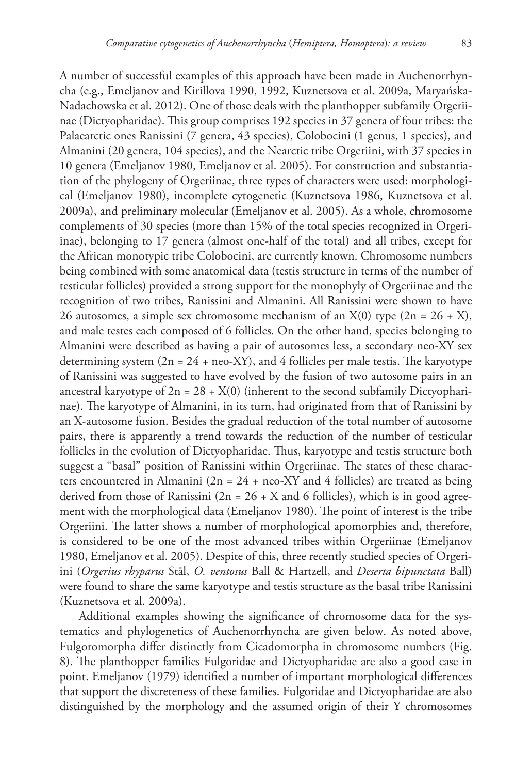A number of successful examples of this approach have been made in Auchenorrhyncha (e.g., Emeljanov and Kirillova 1990, 1992, Kuznetsova et al. 2009a, Maryańska-Nadachowska et al. 2012). One of those deals with the planthopper subfamily Orgeriinae (Dictyopharidae). This group comprises 192 species in 37 genera of four tribes: the Palaearctic ones Ranissini (7 genera, 43 species), Colobocini (1 genus, 1 species), and Almanini (20 genera, 104 species), and the Nearctic tribe Orgeriini, with 37 species in 10 genera (Emeljanov 1980, Emeljanov et al. 2005). For construction and substantiation of the phylogeny of Orgeriinae, three types of characters were used: morphological (Emeljanov 1980), incomplete cytogenetic (Kuznetsova 1986, Kuznetsova et al. 2009a), and preliminary molecular (Emeljanov et al. 2005). As a whole, chromosome complements of 30 species (more than 15% of the total species recognized in Orgeriinae), belonging to 17 genera (almost one-half of the total) and all tribes, except for the African monotypic tribe Colobocini, are currently known. Chromosome numbers being combined with some anatomical data (testis structure in terms of the number of testicular follicles) provided a strong support for the monophyly of Orgeriinae and the recognition of two tribes, Ranissini and Almanini. All Ranissini were shown to have 26 autosomes, a simple sex chromosome mechanism of an  $X(0)$  type  $(2n = 26 + X)$ , and male testes each composed of 6 follicles. On the other hand, species belonging to Almanini were described as having a pair of autosomes less, a secondary neo-XY sex determining system  $(2n = 24 + neo-XY)$ , and 4 follicles per male testis. The karyotype of Ranissini was suggested to have evolved by the fusion of two autosome pairs in an ancestral karyotype of  $2n = 28 + X(0)$  (inherent to the second subfamily Dictyopharinae). The karyotype of Almanini, in its turn, had originated from that of Ranissini by an X-autosome fusion. Besides the gradual reduction of the total number of autosome pairs, there is apparently a trend towards the reduction of the number of testicular follicles in the evolution of Dictyopharidae. Thus, karyotype and testis structure both suggest a "basal" position of Ranissini within Orgeriinae. The states of these characters encountered in Almanini ( $2n = 24 + neo-XY$  and 4 follicles) are treated as being derived from those of Ranissini  $(2n = 26 + X)$  and 6 follicles), which is in good agreement with the morphological data (Emeljanov 1980). The point of interest is the tribe Orgeriini. The latter shows a number of morphological apomorphies and, therefore, is considered to be one of the most advanced tribes within Orgeriinae (Emeljanov 1980, Emeljanov et al. 2005). Despite of this, three recently studied species of Orgeriini (*Orgerius rhyparus* Stål, *O. ventosus* Ball & Hartzell, and *Deserta bipunctata* Ball) were found to share the same karyotype and testis structure as the basal tribe Ranissini (Kuznetsova et al. 2009a).

Additional examples showing the significance of chromosome data for the systematics and phylogenetics of Auchenorrhyncha are given below. As noted above, Fulgoromorpha differ distinctly from Cicadomorpha in chromosome numbers (Fig. 8). The planthopper families Fulgoridae and Dictyopharidae are also a good case in point. Emeljanov (1979) identified a number of important morphological differences that support the discreteness of these families. Fulgoridae and Dictyopharidae are also distinguished by the morphology and the assumed origin of their Y chromosomes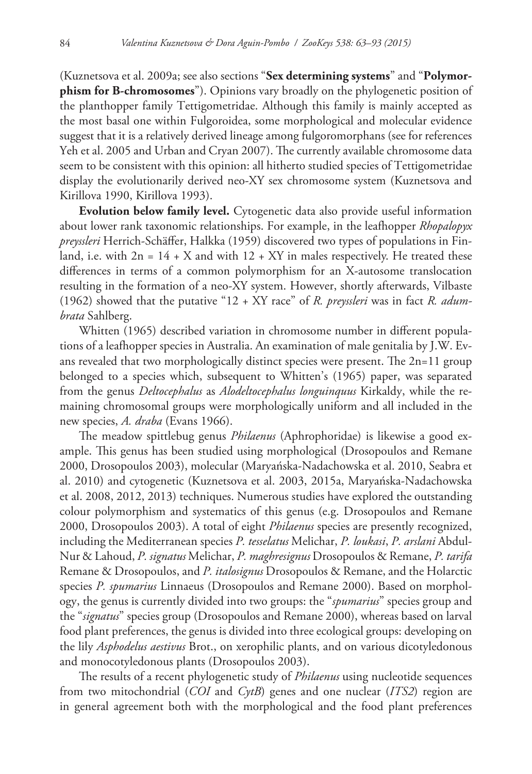(Kuznetsova et al. 2009a; see also sections "**Sex determining systems**" and "**Polymorphism for B-chromosomes**"). Opinions vary broadly on the phylogenetic position of the planthopper family Tettigometridae. Although this family is mainly accepted as the most basal one within Fulgoroidea, some morphological and molecular evidence suggest that it is a relatively derived lineage among fulgoromorphans (see for references Yeh et al. 2005 and Urban and Cryan 2007). The currently available chromosome data seem to be consistent with this opinion: all hitherto studied species of Tettigometridae display the evolutionarily derived neo-XY sex chromosome system (Kuznetsova and Kirillova 1990, Kirillova 1993).

**Evolution below family level.** Cytogenetic data also provide useful information about lower rank taxonomic relationships. For example, in the leafhopper *Rhopalopyx preyssleri* Herrich-Schäffer, Halkka (1959) discovered two types of populations in Finland, i.e. with  $2n = 14 + X$  and with  $12 + XY$  in males respectively. He treated these differences in terms of a common polymorphism for an X-autosome translocation resulting in the formation of a neo-XY system. However, shortly afterwards, Vilbaste (1962) showed that the putative "12 + XY race" of *R. preyssleri* was in fact *R. adumbrata* Sahlberg.

Whitten (1965) described variation in chromosome number in different populations of a leafhopper species in Australia. An examination of male genitalia by J.W. Evans revealed that two morphologically distinct species were present. The 2n=11 group belonged to a species which, subsequent to Whitten's (1965) paper, was separated from the genus *Deltocephalus* as *Alodeltocephalus longuinquus* Kirkaldy, while the remaining chromosomal groups were morphologically uniform and all included in the new species, *A. draba* (Evans 1966).

The meadow spittlebug genus *Philaenus* (Aphrophoridae) is likewise a good example. This genus has been studied using morphological (Drosopoulos and Remane 2000, Drosopoulos 2003), molecular (Maryańska-Nadachowska et al. 2010, Seabra et al. 2010) and cytogenetic (Kuznetsova et al. 2003, 2015a, Maryańska-Nadachowska et al. 2008, 2012, 2013) techniques. Numerous studies have explored the outstanding colour polymorphism and systematics of this genus (e.g. Drosopoulos and Remane 2000, Drosopoulos 2003). A total of eight *Philaenus* species are presently recognized, including the Mediterranean species *P. tesselatus* Melichar, *P. loukasi*, *P. arslani* Abdul-Nur & Lahoud, *P. signatus* Melichar, *P. maghresignus* Drosopoulos & Remane, *P. tarifa* Remane & Drosopoulos, and *P. italosignus* Drosopoulos & Remane, and the Holarctic species *P. spumarius* Linnaeus (Drosopoulos and Remane 2000). Based on morphology, the genus is currently divided into two groups: the "*spumarius*" species group and the "*signatus*" species group (Drosopoulos and Remane 2000), whereas based on larval food plant preferences, the genus is divided into three ecological groups: developing on the lily *Asphodelus aestivus* Brot., on xerophilic plants, and on various dicotyledonous and monocotyledonous plants (Drosopoulos 2003).

The results of a recent phylogenetic study of *Philaenus* using nucleotide sequences from two mitochondrial (*COI* and *CytB*) genes and one nuclear (*ITS2*) region are in general agreement both with the morphological and the food plant preferences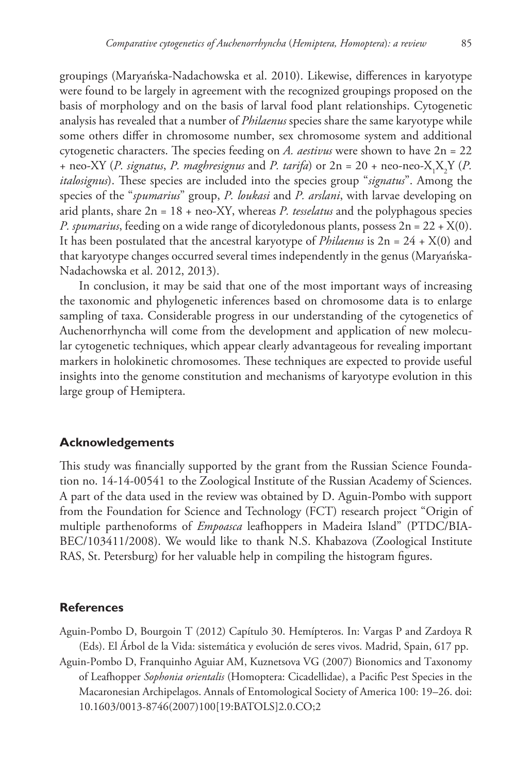groupings (Maryańska-Nadachowska et al. 2010). Likewise, differences in karyotype were found to be largely in agreement with the recognized groupings proposed on the basis of morphology and on the basis of larval food plant relationships. Cytogenetic analysis has revealed that a number of *Philaenus* species share the same karyotype while some others differ in chromosome number, sex chromosome system and additional cytogenetic characters. The species feeding on *A. aestivus* were shown to have 2n = 22 + neo-XY (*P. signatus, P. maghresignus* and *P. tarifa*) or  $2n = 20 + neo-neo-X_1X_2Y$  (*P. italosignus*). These species are included into the species group "*signatus*". Among the species of the "*spumarius*" group, *P. loukasi* and *P. arslani*, with larvae developing on arid plants, share  $2n = 18 + neo-XY$ , whereas *P. tesselatus* and the polyphagous species *P. spumarius*, feeding on a wide range of dicotyledonous plants, possess 2n = 22 + X(0). It has been postulated that the ancestral karyotype of *Philaenus* is  $2n = 24 + X(0)$  and that karyotype changes occurred several times independently in the genus (Maryańska-Nadachowska et al. 2012, 2013).

In conclusion, it may be said that one of the most important ways of increasing the taxonomic and phylogenetic inferences based on chromosome data is to enlarge sampling of taxa. Considerable progress in our understanding of the cytogenetics of Auchenorrhyncha will come from the development and application of new molecular cytogenetic techniques, which appear clearly advantageous for revealing important markers in holokinetic chromosomes. These techniques are expected to provide useful insights into the genome constitution and mechanisms of karyotype evolution in this large group of Hemiptera.

## **Acknowledgements**

This study was financially supported by the grant from the Russian Science Foundation no. 14-14-00541 to the Zoological Institute of the Russian Academy of Sciences. A part of the data used in the review was obtained by D. Aguin-Pombo with support from the Foundation for Science and Technology (FCT) research project "Origin of multiple parthenoforms of *Empoasca* leafhoppers in Madeira Island" (PTDC/BIA-BEC/103411/2008). We would like to thank N.S. Khabazova (Zoological Institute RAS, St. Petersburg) for her valuable help in compiling the histogram figures.

# **References**

- Aguin-Pombo D, Bourgoin T (2012) Capítulo 30. Hemípteros. In: Vargas P and Zardoya R (Eds). El Árbol de la Vida: sistemática y evolución de seres vivos. Madrid, Spain, 617 pp.
- Aguin-Pombo D, Franquinho Aguiar AM, Kuznetsova VG (2007) Bionomics and Taxonomy of Leafhopper *Sophonia orientalis* (Homoptera: Cicadellidae), a Pacific Pest Species in the Macaronesian Archipelagos. Annals of Entomological Society of America 100: 19–26. [doi:](http://dx.doi.org/10.1603/0013-8746(2007)100%5B19:BATOLS%5D2.0.CO;2) [10.1603/0013-8746\(2007\)100\[19:BATOLS\]2.0.CO;2](http://dx.doi.org/10.1603/0013-8746(2007)100%5B19:BATOLS%5D2.0.CO;2)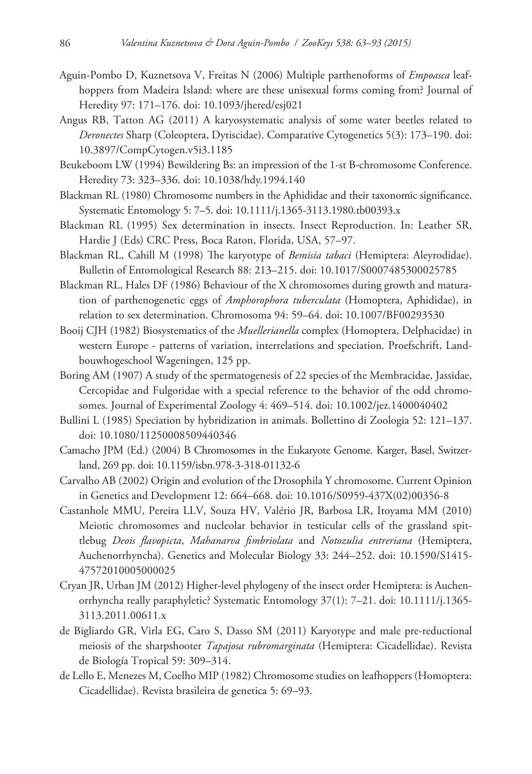- Aguin-Pombo D, Kuznetsova V, Freitas N (2006) Multiple parthenoforms of *Empoasca* leafhoppers from Madeira Island: where are these unisexual forms coming from? Journal of Heredity 97: 171–176. [doi: 10.1093/jhered/esj021](http://dx.doi.org/10.1093/jhered/esj021)
- Angus RB, Tatton AG (2011) A karyosystematic analysis of some water beetles related to *Deronectes* Sharp (Coleoptera, Dytiscidae). Comparative Cytogenetics 5(3): 173–190. [doi:](http://dx.doi.org/10.3897/CompCytogen.v5i3.1185) [10.3897/CompCytogen.v5i3.1185](http://dx.doi.org/10.3897/CompCytogen.v5i3.1185)
- Beukeboom LW (1994) Bewildering Bs: an impression of the 1-st B-chromosome Conference. Heredity 73: 323–336. [doi: 10.1038/hdy.1994.140](http://dx.doi.org/10.1038/hdy.1994.140)
- Blackman RL (1980) Chromosome numbers in the Aphididae and their taxonomic significance. Systematic Entomology 5: 7–5. [doi: 10.1111/j.1365-3113.1980.tb00393.x](http://dx.doi.org/10.1111/j.1365-3113.1980.tb00393.x)
- Blackman RL (1995) Sex determination in insects. Insect Reproduction. In: Leather SR, Hardie J (Eds) CRC Press, Boca Raton, Florida, USA, 57–97.
- Blackman RL, Cahill M (1998) The karyotype of *Bemisia tabaci* (Hemiptera: Aleyrodidae). Bulletin of Entomological Research 88: 213–215. [doi: 10.1017/S0007485300025785](http://dx.doi.org/10.1017/S0007485300025785)
- Blackman RL, Hales DF (1986) Behaviour of the X chromosomes during growth and maturation of parthenogenetic eggs of *Amphorophora tuberculata* (Homoptera, Aphididae), in relation to sex determination. Chromosoma 94: 59–64. [doi: 10.1007/BF00293530](http://dx.doi.org/10.1007/BF00293530)
- Booij CJH (1982) Biosystematics of the *Muellerianella* complex (Homoptera, Delphacidae) in western Europe - patterns of variation, interrelations and speciation. Proefschrift, Landbouwhogeschool Wageningen, 125 pp.
- Boring AM (1907) A study of the spermatogenesis of 22 species of the Membracidae, Jassidae, Cercopidae and Fulgoridae with a special reference to the behavior of the odd chromosomes. Journal of Experimental Zoology 4: 469–514. [doi: 10.1002/jez.1400040402](http://dx.doi.org/10.1002/jez.1400040402)
- Bullini L (1985) Speciation by hybridization in animals. Bollettino di Zoologia 52: 121–137. [doi: 10.1080/11250008509440346](http://dx.doi.org/10.1080/11250008509440346)
- Camacho JPM (Ed.) (2004) B Chromosomes in the Eukaryote Genome. Karger, Basel, Switzerland, 269 pp. [doi: 10.1159/isbn.978-3-318-01132-6](http://dx.doi.org/10.1159/isbn.978-3-318-01132-6)
- Carvalho AB (2002) Origin and evolution of the Drosophila Y chromosome. Current Opinion in Genetics and Development 12: 664–668. [doi: 10.1016/S0959-437X\(02\)00356-8](http://dx.doi.org/10.1016/S0959-437X(02)00356-8)
- Castanhole MMU, Pereira LLV, Souza HV, Valério JR, Barbosa LR, Itoyama MM (2010) Meiotic chromosomes and nucleolar behavior in testicular cells of the grassland spittlebug *Deois flavopicta*, *Mahanarva fimbriolata* and *Notozulia entreriana* (Hemiptera, Auchenorrhyncha). Genetics and Molecular Biology 33: 244–252. [doi: 10.1590/S1415-](http://dx.doi.org/10.1590/S1415-47572010005000025) [47572010005000025](http://dx.doi.org/10.1590/S1415-47572010005000025)
- Cryan JR, Urban JM (2012) Higher-level phylogeny of the insect order Hemiptera: is Auchenorrhyncha really paraphyletic? Systematic Entomology 37(1): 7–21. [doi: 10.1111/j.1365-](http://dx.doi.org/10.1111/j.1365-3113.2011.00611.x) [3113.2011.00611.x](http://dx.doi.org/10.1111/j.1365-3113.2011.00611.x)
- de Bigliardo GR, Virla EG, Caro S, Dasso SM (2011) Karyotype and male pre-reductional meiosis of the sharpshooter *Tapajosa rubromarginata* (Hemiptera: Cicadellidae). Revista de Biología Tropical 59: 309–314.
- de Lello E, Menezes M, Coelho MIP (1982) Chromosome studies on leafhoppers (Homoptera: Cicadellidae). Revista brasileira de genetica 5: 69–93.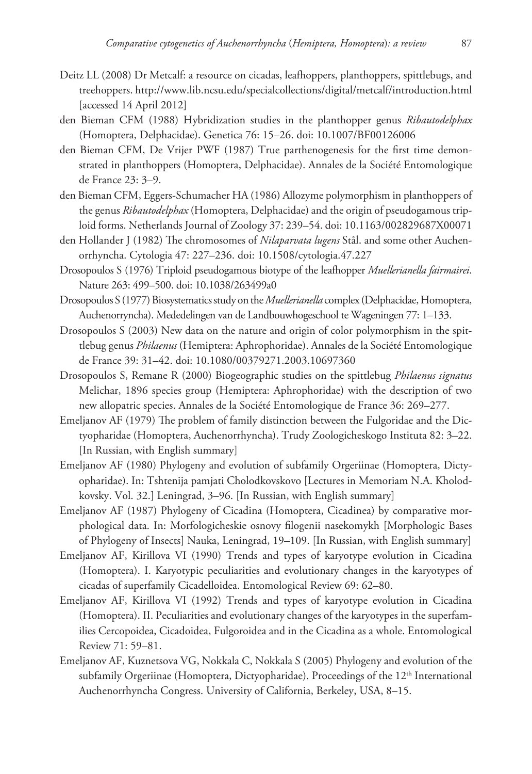- Deitz LL (2008) Dr Metcalf: a resource on cicadas, leafhoppers, planthoppers, spittlebugs, and treehoppers.<http://www.lib.ncsu.edu/specialcollections/digital/metcalf/introduction.html> [accessed 14 April 2012]
- den Bieman CFM (1988) Hybridization studies in the planthopper genus *Ribautodelphax* (Homoptera, Delphacidae). Genetica 76: 15–26. [doi: 10.1007/BF00126006](http://dx.doi.org/10.1007/BF00126006)
- den Bieman CFM, De Vrijer PWF (1987) True parthenogenesis for the first time demonstrated in planthoppers (Homoptera, Delphacidae). Annales de la Société Entomologique de France 23: 3–9.
- den Bieman CFM, Eggers-Schumacher HA (1986) Allozyme polymorphism in planthoppers of the genus *Ribautodelphax* (Homoptera, Delphacidae) and the origin of pseudogamous triploid forms. Netherlands Journal of Zoology 37: 239–54. [doi: 10.1163/002829687X00071](http://dx.doi.org/10.1163/002829687X00071)
- den Hollander J (1982) The chromosomes of *Nilaparvata lugens* Stål. and some other Auchenorrhyncha. Cytologia 47: 227–236. [doi: 10.1508/cytologia.47.227](http://dx.doi.org/10.1508/cytologia.47.227)
- Drosopoulos S (1976) Triploid pseudogamous biotype of the leafhopper *Muellerianella fairmairei*. Nature 263: 499–500. [doi: 10.1038/263499a0](http://dx.doi.org/10.1038/263499a0)
- Drosopoulos S (1977) Biosystematics study on the *Muellerianella* complex (Delphacidae, Homoptera, Auchenorryncha). Mededelingen van de Landbouwhogeschool te Wageningen 77: 1–133.
- Drosopoulos S (2003) New data on the nature and origin of color polymorphism in the spittlebug genus *Philaenus* (Hemiptera: Aphrophoridae). Annales de la Société Entomologique de France 39: 31–42. [doi: 10.1080/00379271.2003.10697360](http://dx.doi.org/10.1080/00379271.2003.10697360)
- Drosopoulos S, Remane R (2000) Biogeographic studies on the spittlebug *Philaenus signatus* Melichar, 1896 species group (Hemiptera: Aphrophoridae) with the description of two new allopatric species. Annales de la Société Entomologique de France 36: 269–277.
- Emeljanov AF (1979) The problem of family distinction between the Fulgoridae and the Dictyopharidae (Homoptera, Auchenorrhyncha). Trudy Zoologicheskogo Instituta 82: 3–22. [In Russian, with English summary]
- Emeljanov AF (1980) Phylogeny and evolution of subfamily Orgeriinae (Homoptera, Dictyopharidae). In: Tshtenija pamjati Cholodkovskovo [Lectures in Memoriam N.A. Kholodkovsky. Vol. 32.] Leningrad, 3–96. [In Russian, with English summary]
- Emeljanov AF (1987) Phylogeny of Cicadina (Homoptera, Cicadinea) by comparative morphological data. In: Morfologicheskie osnovy filogenii nasekomykh [Morphologic Bases of Phylogeny of Insects] Nauka, Leningrad, 19–109. [In Russian, with English summary]
- Emeljanov AF, Kirillova VI (1990) Trends and types of karyotype evolution in Cicadina (Homoptera). I. Karyotypic peculiarities and evolutionary changes in the karyotypes of cicadas of superfamily Cicadelloidea. Entomological Review 69: 62–80.
- Emeljanov AF, Kirillova VI (1992) Trends and types of karyotype evolution in Cicadina (Homoptera). II. Peculiarities and evolutionary changes of the karyotypes in the superfamilies Cercopoidea, Cicadoidea, Fulgoroidea and in the Cicadina as a whole. Entomological Review 71: 59–81.
- Emeljanov AF, Kuznetsova VG, Nokkala C, Nokkala S (2005) Phylogeny and evolution of the subfamily Orgeriinae (Homoptera, Dictyopharidae). Proceedings of the 12<sup>th</sup> International Auchenorrhyncha Congress. University of California, Berkeley, USA, 8–15.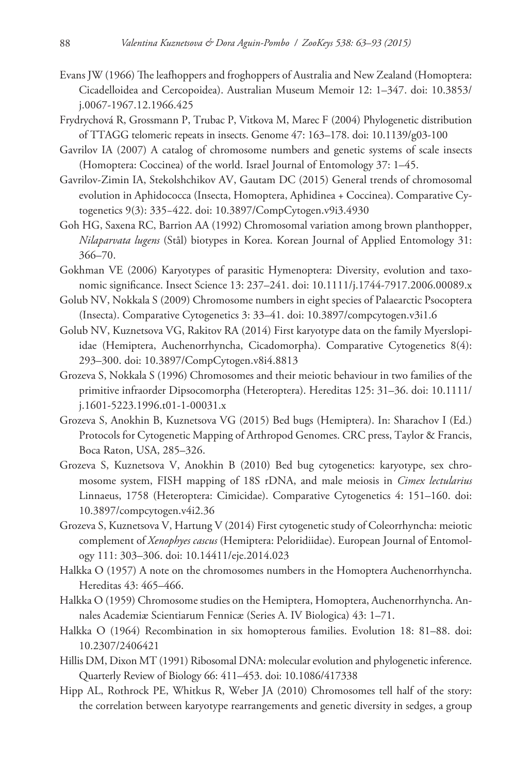- Evans JW (1966) The leafhoppers and froghoppers of Australia and New Zealand (Homoptera: Cicadelloidea and Cercopoidea). Australian Museum Memoir 12: 1–347. [doi: 10.3853/](http://dx.doi.org/10.3853/j.0067-1967.12.1966.425) [j.0067-1967.12.1966.425](http://dx.doi.org/10.3853/j.0067-1967.12.1966.425)
- Frydrychová R, Grossmann P, Trubac P, Vitkova M, Marec F (2004) Phylogenetic distribution of TTAGG telomeric repeats in insects. Genome 47: 163–178. [doi: 10.1139/g03-100](http://dx.doi.org/10.1139/g03-100)
- Gavrilov IA (2007) A catalog of chromosome numbers and genetic systems of scale insects (Homoptera: Coccinea) of the world. Israel Journal of Entomology 37: 1–45.
- Gavrilov-Zimin IA, Stekolshchikov AV, Gautam DC (2015) General trends of chromosomal evolution in Aphidococca (Insecta, Homoptera, Aphidinea + Coccinea). Comparative Cytogenetics 9(3): 335−422. [doi: 10.3897/CompCytogen.v9i3.4930](http://dx.doi.org/10.3897/CompCytogen.v9i3.4930)
- Goh HG, Saxena RC, Barrion AA (1992) Chromosomal variation among brown planthopper, *Nilaparvata lugens* (Stål) biotypes in Korea. Korean Journal of Applied Entomology 31: 366–70.
- Gokhman VE (2006) Karyotypes of parasitic Hymenoptera: Diversity, evolution and taxonomic significance. Insect Science 13: 237–241. [doi: 10.1111/j.1744-7917.2006.00089.x](http://dx.doi.org/10.1111/j.1744-7917.2006.00089.x)
- Golub NV, Nokkala S (2009) Chromosome numbers in eight species of Palaearctic Psocoptera (Insecta). Comparative Cytogenetics 3: 33–41. [doi: 10.3897/compcytogen.v3i1.6](http://dx.doi.org/10.3897/compcytogen.v3i1.6)
- Golub NV, Kuznetsova VG, Rakitov RA (2014) First karyotype data on the family Myerslopiidae (Hemiptera, Auchenorrhyncha, Cicadomorpha). Comparative Cytogenetics 8(4): 293–300. [doi: 10.3897/CompCytogen.v8i4.8813](http://dx.doi.org/10.3897/CompCytogen.v8i4.8813)
- Grozeva S, Nokkala S (1996) Chromosomes and their meiotic behaviour in two families of the primitive infraorder Dipsocomorpha (Heteroptera). Hereditas 125: 31–36. [doi: 10.1111/](http://dx.doi.org/10.1111/j.1601-5223.1996.t01-1-00031.x) [j.1601-5223.1996.t01-1-00031.x](http://dx.doi.org/10.1111/j.1601-5223.1996.t01-1-00031.x)
- Grozeva S, Anokhin B, Kuznetsova VG (2015) Bed bugs (Hemiptera). In: Sharachov I (Ed.) Protocols for Cytogenetic Mapping of Arthropod Genomes. CRC press, Taylor & Francis, Boca Raton, USA, 285–326.
- Grozeva S, Kuznetsova V, Anokhin B (2010) Bed bug cytogenetics: karyotype, sex chromosome system, FISH mapping of 18S rDNA, and male meiosis in *Cimex lectularius* Linnaeus, 1758 (Heteroptera: Cimicidae). Comparative Cytogenetics 4: 151–160. [doi:](http://dx.doi.org/10.3897/compcytogen.v4i2.36) [10.3897/compcytogen.v4i2.36](http://dx.doi.org/10.3897/compcytogen.v4i2.36)
- Grozeva S, Kuznetsova V, Hartung V (2014) First cytogenetic study of Coleorrhyncha: meiotic complement of *Xenophyes cascus* (Hemiptera: Peloridiidae). European Journal of Entomology 111: 303–306. [doi: 10.14411/eje.2014.023](http://dx.doi.org/10.14411/eje.2014.023)
- Halkka O (1957) A note on the chromosomes numbers in the Homoptera Auchenorrhyncha. Hereditas 43: 465–466.
- Halkka O (1959) Chromosome studies on the Hemiptera, Homoptera, Auchenorrhyncha. Annales Academiæ Scientiarum Fennicæ (Series A. IV Biologica) 43: 1–71.
- Halkka O (1964) Recombination in six homopterous families. Evolution 18: 81–88. [doi:](http://dx.doi.org/10.2307/2406421) [10.2307/2406421](http://dx.doi.org/10.2307/2406421)
- Hillis DM, Dixon MT (1991) Ribosomal DNA: molecular evolution and phylogenetic inference. Quarterly Review of Biology 66: 411–453. [doi: 10.1086/417338](http://dx.doi.org/10.1086/417338)
- Hipp AL, Rothrock PE, Whitkus R, Weber JA (2010) Chromosomes tell half of the story: the correlation between karyotype rearrangements and genetic diversity in sedges, a group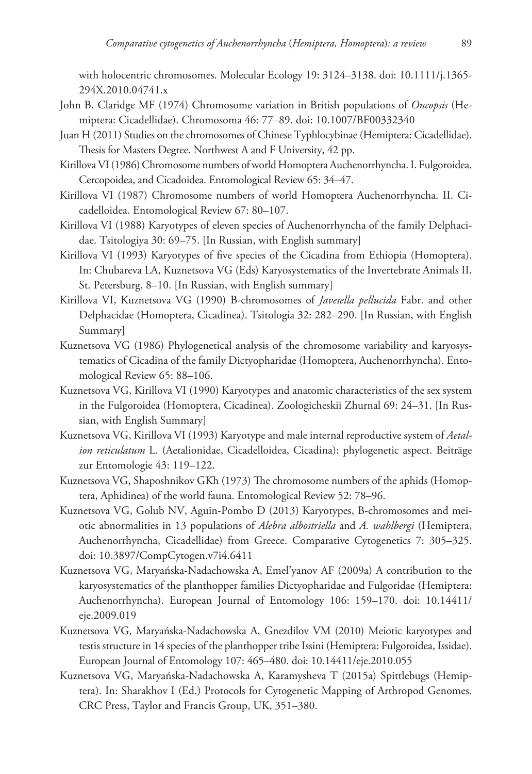with holocentric chromosomes. Molecular Ecology 19: 3124–3138. [doi: 10.1111/j.1365-](http://dx.doi.org/10.1111/j.1365-294X.2010.04741.x) [294X.2010.04741.x](http://dx.doi.org/10.1111/j.1365-294X.2010.04741.x)

- John B, Claridge MF (1974) Chromosome variation in British populations of *Oncopsis* (Hemiptera: Cicadellidae). Chromosoma 46: 77–89. [doi: 10.1007/BF00332340](http://dx.doi.org/10.1007/BF00332340)
- Juan H (2011) Studies on the chromosomes of Chinese Typhlocybinae (Hemiptera: Cicadellidae). Thesis for Masters Degree. Northwest A and F University, 42 pp.
- Kirillova VI (1986) Chromosome numbers of world Homoptera Auchenorrhyncha. I. Fulgoroidea, Cercopoidea, and Cicadoidea. Entomological Review 65: 34–47.
- Kirillova VI (1987) Chromosome numbers of world Homoptera Auchenorrhyncha. II. Cicadelloidea. Entomological Review 67: 80–107.
- Kirillova VI (1988) Karyotypes of eleven species of Auchenorrhyncha of the family Delphacidae. Tsitologiya 30: 69–75. [In Russian, with English summary]
- Kirillova VI (1993) Karyotypes of five species of the Cicadina from Ethiopia (Homoptera). In: Chubareva LA, Kuznetsova VG (Eds) Karyosystematics of the Invertebrate Animals II, St. Petersburg, 8–10. [In Russian, with English summary]
- Kirillova VI, Kuznetsova VG (1990) B-chromosomes of *Javesella pellucida* Fabr. and other Delphacidae (Homoptera, Cicadinea). Tsitologia 32: 282–290. [In Russian, with English Summary]
- Kuznetsova VG (1986) Phylogenetical analysis of the chromosome variability and karyosystematics of Cicadina of the family Dictyopharidae (Homoptera, Auchenorrhyncha). Entomological Review 65: 88–106.
- Kuznetsova VG, Kirillova VI (1990) Karyotypes and anatomic characteristics of the sex system in the Fulgoroidea (Homoptera, Cicadinea). Zoologicheskii Zhurnal 69: 24–31. [In Russian, with English Summary]
- Kuznetsova VG, Kirillova VI (1993) Karyotype and male internal reproductive system of *Aetalion reticulatum* L. (Aetalionidae, Cicadelloidea, Cicadina): phylogenetic aspect. Beiträge zur Entomologie 43: 119–122.
- Kuznetsova VG, Shaposhnikov GKh (1973) The chromosome numbers of the aphids (Homoptera, Aphidinea) of the world fauna. Entomological Review 52: 78–96.
- Kuznetsova VG, Golub NV, Aguin-Pombo D (2013) Karyotypes, B-chromosomes and meiotic abnormalities in 13 populations of *Alebra albostriella* and *A. wahlbergi* (Hemiptera, Auchenorrhyncha, Cicadellidae) from Greece. Comparative Cytogenetics 7: 305–325. [doi: 10.3897/CompCytogen.v7i4.6411](http://dx.doi.org/10.3897/CompCytogen.v7i4.6411)
- Kuznetsova VG, Maryańska-Nadachowska A, Emel'yanov AF (2009a) A contribution to the karyosystematics of the planthopper families Dictyopharidae and Fulgoridae (Hemiptera: Auchenorrhyncha). European Journal of Entomology 106: 159–170. [doi: 10.14411/](http://dx.doi.org/10.14411/eje.2009.019) [eje.2009.019](http://dx.doi.org/10.14411/eje.2009.019)
- Kuznetsova VG, Maryańska-Nadachowska A, Gnezdilov VM (2010) Meiotic karyotypes and testis structure in 14 species of the planthopper tribe Issini (Hemiptera: Fulgoroidea, Issidae). European Journal of Entomology 107: 465–480. [doi: 10.14411/eje.2010.055](http://dx.doi.org/10.14411/eje.2010.055)
- Kuznetsova VG, Maryańska-Nadachowska A, Karamysheva T (2015a) Spittlebugs (Hemiptera). In: Sharakhov I (Ed.) Protocols for Cytogenetic Mapping of Arthropod Genomes. CRC Press, Taylor and Francis Group, UK, 351–380.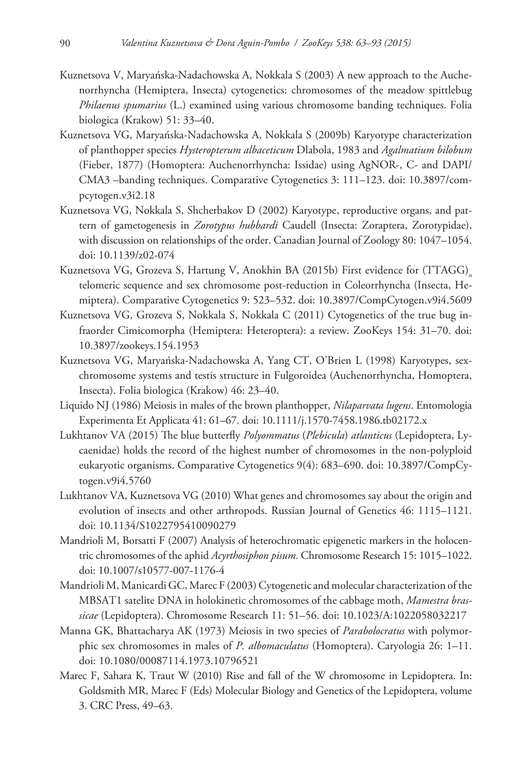- Kuznetsova V, Maryańska-Nadachowska A, Nokkala S (2003) A new approach to the Auchenorrhyncha (Hemiptera, Insecta) cytogenetics: chromosomes of the meadow spittlebug *Philaenus spumarius* (L.) examined using various chromosome banding techniques. Folia biologica (Krakow) 51: 33–40.
- Kuznetsova VG, Maryańska-Nadachowska A, Nokkala S (2009b) Karyotype characterization of planthopper species *Hysteropterum albaceticum* Dlabola, 1983 and *Agalmatium bilobum* (Fieber, 1877) (Homoptera: Auchenorrhyncha: Issidae) using AgNOR-, C- and DAPI/ CMA3 –banding techniques. Comparative Cytogenetics 3: 111–123. [doi: 10.3897/com](http://dx.doi.org/10.3897/compcytogen.v3i2.18)[pcytogen.v3i2.18](http://dx.doi.org/10.3897/compcytogen.v3i2.18)
- Kuznetsova VG, Nokkala S, Shcherbakov D (2002) Karyotype, reproductive organs, and pattern of gametogenesis in *Zorotypus hubbardi* Caudell (Insecta: Zoraptera, Zorotypidae), with discussion on relationships of the order. Canadian Journal of Zoology 80: 1047–1054. [doi: 10.1139/z02-074](http://dx.doi.org/10.1139/z02-074)
- Kuznetsova VG, Grozeva S, Hartung V, Anokhin BA (2015b) First evidence for (TTAGG)<sub>n</sub> telomeric sequence and sex chromosome post-reduction in Coleorrhyncha (Insecta, Hemiptera). Comparative Cytogenetics 9: 523–532. [doi: 10.3897/CompCytogen.v9i4.5609](http://dx.doi.org/10.3897/CompCytogen.v9i4.5609)
- Kuznetsova VG, Grozeva S, Nokkala S, Nokkala C (2011) Cytogenetics of the true bug infraorder Cimicomorpha (Hemiptera: Heteroptera): a review. ZooKeys 154: 31–70. [doi:](http://dx.doi.org/10.3897/zookeys.154.1953) [10.3897/zookeys.154.1953](http://dx.doi.org/10.3897/zookeys.154.1953)
- Kuznetsova VG, Maryańska-Nadachowska A, Yang CT, O'Brien L (1998) Karyotypes, sexchromosome systems and testis structure in Fulgoroidea (Auchenorrhyncha, Homoptera, Insecta). Folia biologica (Krakow) 46: 23–40.
- Liquido NJ (1986) Meiosis in males of the brown planthopper, *Nilaparvata lugens*. Entomologia Experimenta Et Applicata 41: 61–67. [doi: 10.1111/j.1570-7458.1986.tb02172.x](http://dx.doi.org/10.1111/j.1570-7458.1986.tb02172.x)
- Lukhtanov VA (2015) The blue butterfly *Polyommatus* (*Plebicula*) *atlanticus* (Lepidoptera, Lycaenidae) holds the record of the highest number of chromosomes in the non-polyploid eukaryotic organisms. Comparative Cytogenetics 9(4): 683–690. [doi: 10.3897/CompCy](http://dx.doi.org/10.3897/CompCytogen.v9i4.5760)[togen.v9i4.5760](http://dx.doi.org/10.3897/CompCytogen.v9i4.5760)
- Lukhtanov VA, Kuznetsova VG (2010) What genes and chromosomes say about the origin and evolution of insects and other arthropods. Russian Journal of Genetics 46: 1115–1121. [doi: 10.1134/S1022795410090279](http://dx.doi.org/10.1134/S1022795410090279)
- Mandrioli M, Borsatti F (2007) Analysis of heterochromatic epigenetic markers in the holocentric chromosomes of the aphid *Acyrthosiphon pisum.* Chromosome Research 15: 1015–1022. [doi: 10.1007/s10577-007-1176-4](http://dx.doi.org/10.1007/s10577-007-1176-4)
- Mandrioli M, Manicardi GC, Marec F (2003) Cytogenetic and molecular characterization of the MBSAT1 satelite DNA in holokinetic chromosomes of the cabbage moth, *Mamestra brassicae* (Lepidoptera). Chromosome Research 11: 51–56. [doi: 10.1023/A:1022058032217](http://dx.doi.org/10.1023/A:1022058032217)
- Manna GK, Bhattacharya AK (1973) Meiosis in two species of *Parabolocratus* with polymorphic sex chromosomes in males of *P. albomaculatus* (Homoptera). Caryologia 26: 1–11. [doi: 10.1080/00087114.1973.10796521](http://dx.doi.org/10.1080/00087114.1973.10796521)
- Marec F, Sahara K, Traut W (2010) Rise and fall of the W chromosome in Lepidoptera. In: Goldsmith MR, Marec F (Eds) Molecular Biology and Genetics of the Lepidoptera, volume 3. CRC Press, 49–63.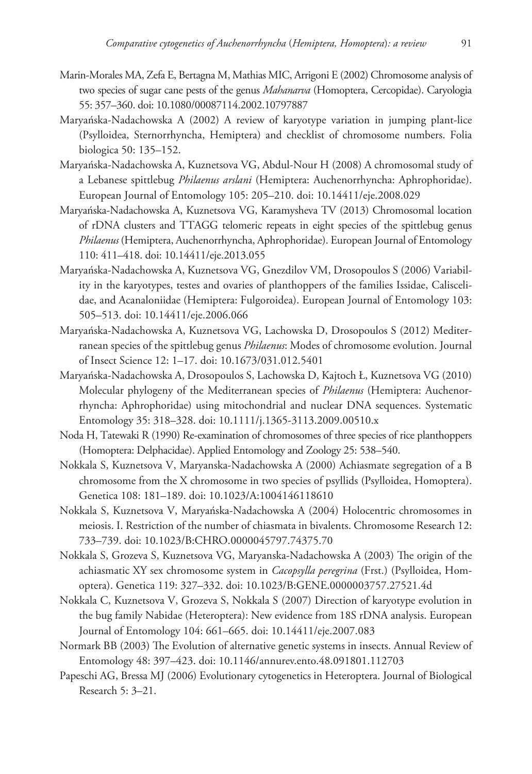- Marin-Morales MA, Zefa E, Bertagna M, Mathias MIC, Arrigoni E (2002) Chromosome analysis of two species of sugar cane pests of the genus *Mahanarva* (Homoptera, Cercopidae). Caryologia 55: 357–360. [doi: 10.1080/00087114.2002.10797887](http://dx.doi.org/10.1080/00087114.2002.10797887)
- Maryańska-Nadachowska A (2002) A review of karyotype variation in jumping plant-lice (Psylloidea, Sternorrhyncha, Hemiptera) and checklist of chromosome numbers. Folia biologica 50: 135–152.
- Maryańska-Nadachowska A, Kuznetsova VG, Abdul-Nour H (2008) A chromosomal study of a Lebanese spittlebug *Philaenus arslani* (Hemiptera: Auchenorrhyncha: Aphrophoridae). European Journal of Entomology 105: 205–210. [doi: 10.14411/eje.2008.029](http://dx.doi.org/10.14411/eje.2008.029)
- Maryańska-Nadachowska A, Kuznetsova VG, Karamysheva TV (2013) Chromosomal location of rDNA clusters and TTAGG telomeric repeats in eight species of the spittlebug genus *Philaenus* (Hemiptera, Auchenorrhyncha, Aphrophoridae). European Journal of Entomology 110: 411–418. [doi: 10.14411/eje.2013.055](http://dx.doi.org/10.14411/eje.2013.055)
- Maryańska-Nadachowska A, Kuznetsova VG, Gnezdilov VM, Drosopoulos S (2006) Variability in the karyotypes, testes and ovaries of planthoppers of the families Issidae, Caliscelidae, and Acanaloniidae (Hemiptera: Fulgoroidea). European Journal of Entomology 103: 505–513. [doi: 10.14411/eje.2006.066](http://dx.doi.org/10.14411/eje.2006.066)
- Maryańska-Nadachowska A, Kuznetsova VG, Lachowska D, Drosopoulos S (2012) Mediterranean species of the spittlebug genus *Philaenus*: Modes of chromosome evolution. Journal of Insect Science 12: 1–17. [doi: 10.1673/031.012.5401](http://dx.doi.org/10.1673/031.012.5401)
- Maryańska-Nadachowska A, Drosopoulos S, Lachowska D, Kajtoch Ł, Kuznetsova VG (2010) Molecular phylogeny of the Mediterranean species of *Philaenus* (Hemiptera: Auchenorrhyncha: Aphrophoridae) using mitochondrial and nuclear DNA sequences. Systematic Entomology 35: 318–328. [doi: 10.1111/j.1365-3113.2009.00510.x](http://dx.doi.org/10.1111/j.1365-3113.2009.00510.x)
- Noda H, Tatewaki R (1990) Re-examination of chromosomes of three species of rice planthoppers (Homoptera: Delphacidae). Applied Entomology and Zoology 25: 538–540.
- Nokkala S, Kuznetsova V, Maryanska-Nadachowska A (2000) Achiasmate segregation of a B chromosome from the X chromosome in two species of psyllids (Psylloidea, Homoptera). Genetica 108: 181–189. [doi: 10.1023/A:1004146118610](http://dx.doi.org/10.1023/A:1004146118610)
- Nokkala S, Kuznetsova V, Maryańska-Nadachowska A (2004) Holocentric chromosomes in meiosis. I. Restriction of the number of chiasmata in bivalents. Chromosome Research 12: 733–739. [doi: 10.1023/B:CHRO.0000045797.74375.70](http://dx.doi.org/10.1023/B:CHRO.0000045797.74375.70)
- Nokkala S, Grozeva S, Kuznetsova VG, Maryanska-Nadachowska A (2003) The origin of the achiasmatic XY sex chromosome system in *Cacopsylla peregrina* (Frst.) (Psylloidea, Homoptera). Genetica 119: 327–332. [doi: 10.1023/B:GENE.0000003757.27521.4d](http://dx.doi.org/10.1023/B:GENE.0000003757.27521.4d)
- Nokkala C, Kuznetsova V, Grozeva S, Nokkala S (2007) Direction of karyotype evolution in the bug family Nabidae (Heteroptera): New evidence from 18S rDNA analysis. European Journal of Entomology 104: 661–665. [doi: 10.14411/eje.2007.083](http://dx.doi.org/10.14411/eje.2007.083)
- Normark BB (2003) The Evolution of alternative genetic systems in insects. Annual Review of Entomology 48: 397–423. [doi: 10.1146/annurev.ento.48.091801.112703](http://dx.doi.org/10.1146/annurev.ento.48.091801.112703)
- Papeschi AG, Bressa MJ (2006) Evolutionary cytogenetics in Heteroptera. Journal of Biological Research 5: 3–21.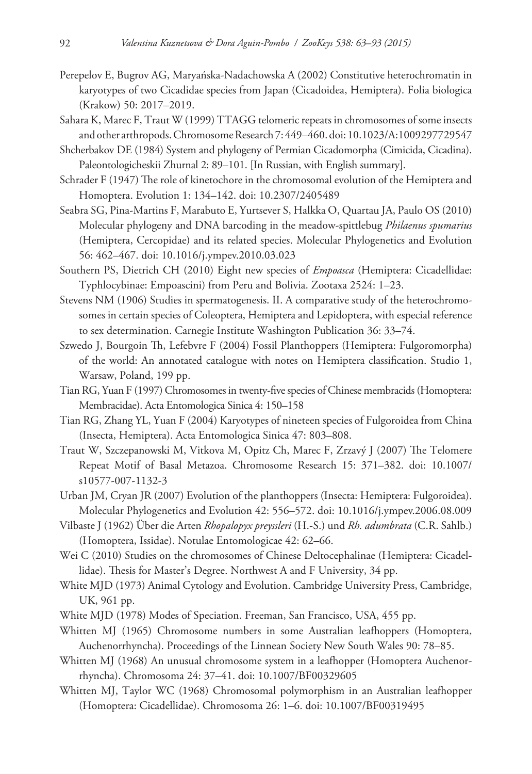- Perepelov E, Bugrov AG, Maryańska-Nadachowska A (2002) Constitutive heterochromatin in karyotypes of two Cicadidae species from Japan (Cicadoidea, Hemiptera). Folia biologica (Krakow) 50: 2017–2019.
- Sahara K, Marec F, Traut W (1999) TTAGG telomeric repeats in chromosomes of some insects and other arthropods. Chromosome Research 7: 449–460. [doi: 10.1023/A:1009297729547](http://dx.doi.org/10.1023/A:1009297729547)
- Shcherbakov DE (1984) System and phylogeny of Permian Cicadomorpha (Cimicida, Cicadina). Paleontologicheskii Zhurnal 2: 89–101. [In Russian, with English summary].
- Schrader F (1947) The role of kinetochore in the chromosomal evolution of the Hemiptera and Homoptera. Evolution 1: 134–142. [doi: 10.2307/2405489](http://dx.doi.org/10.2307/2405489)
- Seabra SG, Pina-Martins F, Marabuto E, Yurtsever S, Halkka O, Quartau JA, Paulo OS (2010) Molecular phylogeny and DNA barcoding in the meadow-spittlebug *Philaenus spumarius* (Hemiptera, Cercopidae) and its related species. Molecular Phylogenetics and Evolution 56: 462–467. [doi: 10.1016/j.ympev.2010.03.023](http://dx.doi.org/10.1016/j.ympev.2010.03.023)
- Southern PS, Dietrich CH (2010) Eight new species of *Empoasca* (Hemiptera: Cicadellidae: Typhlocybinae: Empoascini) from Peru and Bolivia. Zootaxa 2524: 1–23.
- Stevens NM (1906) Studies in spermatogenesis. II. A comparative study of the heterochromosomes in certain species of Coleoptera, Hemiptera and Lepidoptera, with especial reference to sex determination. Carnegie Institute Washington Publication 36: 33–74.
- Szwedo J, Bourgoin Th, Lefebvre F (2004) Fossil Planthoppers (Hemiptera: Fulgoromorpha) of the world: An annotated catalogue with notes on Hemiptera classification. Studio 1, Warsaw, Poland, 199 pp.
- Tian RG, Yuan F (1997) Chromosomes in twenty-five species of Chinese membracids (Homoptera: Membracidae). Acta Entomologica Sinica 4: 150–158
- Tian RG, Zhang YL, Yuan F (2004) Karyotypes of nineteen species of Fulgoroidea from China (Insecta, Hemiptera). Acta Entomologica Sinica 47: 803–808.
- Traut W, Szczepanowski M, Vitkova M, Opitz Ch, Marec F, Zrzavý J (2007) The Telomere Repeat Motif of Basal Metazoa. Chromosome Research 15: 371–382. [doi: 10.1007/](http://dx.doi.org/10.1007/s10577-007-1132-3) [s10577-007-1132-3](http://dx.doi.org/10.1007/s10577-007-1132-3)
- Urban JM, Cryan JR (2007) Evolution of the planthoppers (Insecta: Hemiptera: Fulgoroidea). Molecular Phylogenetics and Evolution 42: 556–572. [doi: 10.1016/j.ympev.2006.08.009](http://dx.doi.org/10.1016/j.ympev.2006.08.009)
- Vilbaste J (1962) Über die Arten *Rhopalopyx preyssleri* (H.-S.) und *Rh. adumbrata* (C.R. Sahlb.) (Homoptera, Issidae). Notulae Entomologicae 42: 62–66.
- Wei C (2010) Studies on the chromosomes of Chinese Deltocephalinae (Hemiptera: Cicadellidae). Thesis for Master's Degree. Northwest A and F University, 34 pp.
- White MJD (1973) Animal Cytology and Evolution. Cambridge University Press, Cambridge, UK, 961 pp.
- White MJD (1978) Modes of Speciation. Freeman, San Francisco, USA, 455 pp.
- Whitten MJ (1965) Chromosome numbers in some Australian leafhoppers (Homoptera, Auchenorrhyncha). Proceedings of the Linnean Society New South Wales 90: 78–85.
- Whitten MJ (1968) An unusual chromosome system in a leafhopper (Homoptera Auchenorrhyncha). Chromosoma 24: 37–41. [doi: 10.1007/BF00329605](http://dx.doi.org/10.1007/BF00329605)
- Whitten MJ, Taylor WC (1968) Chromosomal polymorphism in an Australian leafhopper (Homoptera: Cicadellidae). Chromosoma 26: 1–6. [doi: 10.1007/BF00319495](http://dx.doi.org/10.1007/BF00319495)